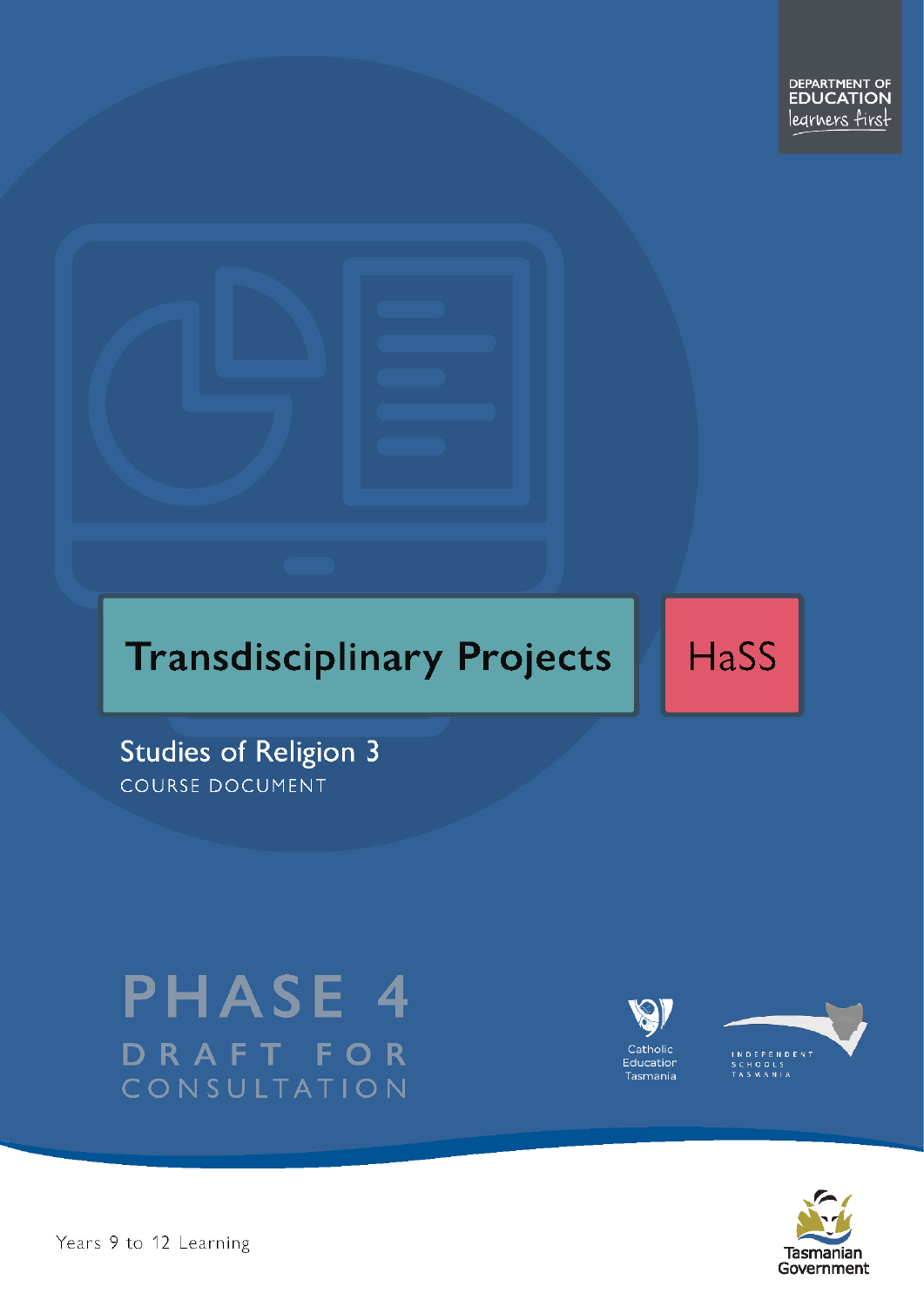# **Transdisciplinary Projects**

**HaSS** 

Studies of Religion 3 COURSE DOCUMENT

# **PHASE 4** DRAFT FOR CONSULTATION





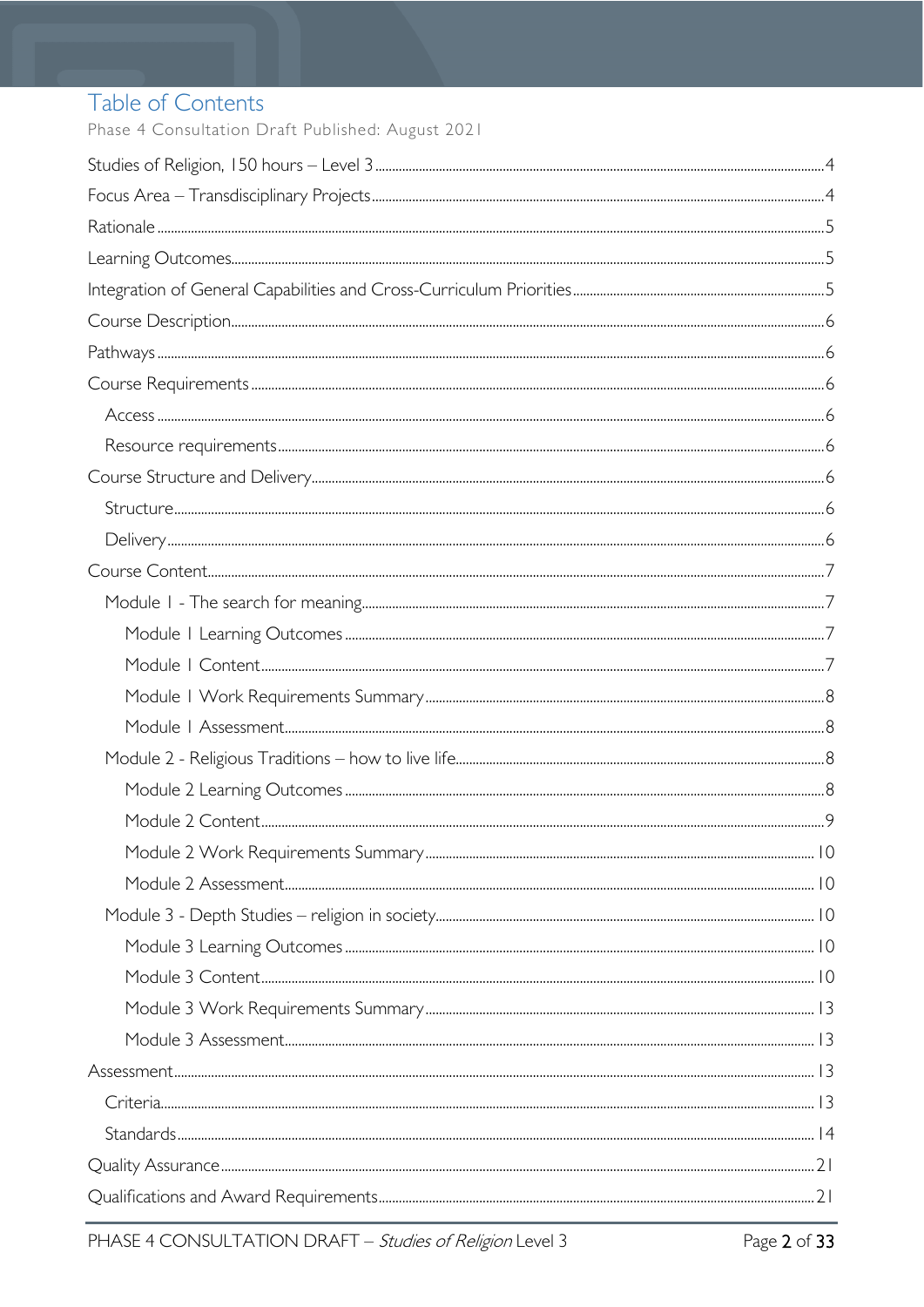# Table of Contents

Phase 4 Consultation Draft Published: August 2021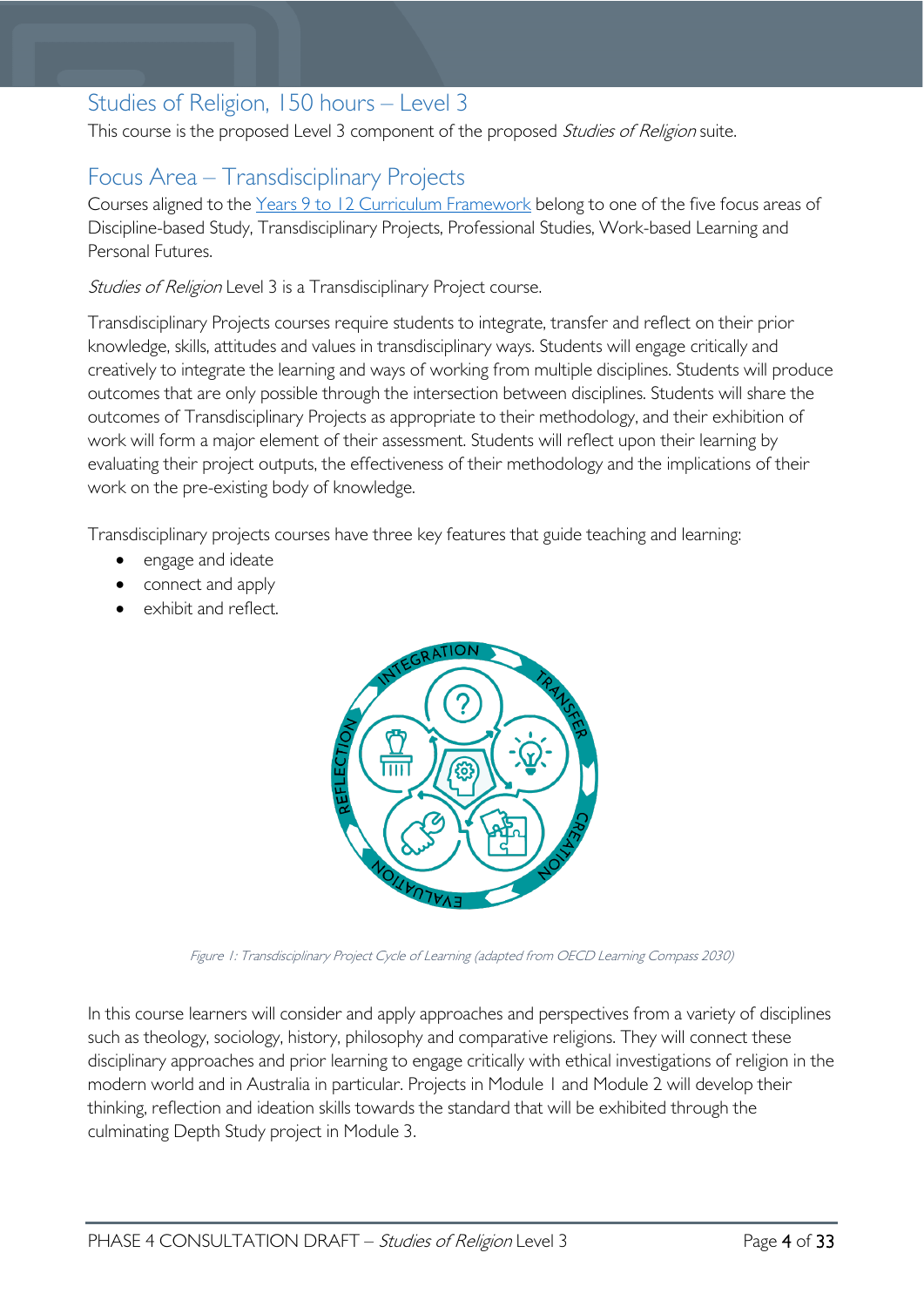# <span id="page-3-0"></span>Studies of Religion, 150 hours – Level 3

This course is the proposed Level 3 component of the proposed Studies of Religion suite.

# <span id="page-3-1"></span>Focus Area – Transdisciplinary Projects

Courses aligned to the Years 9 to 12 Curriculum [Framework](https://publicdocumentcentre.education.tas.gov.au/library/Shared%20Documents/Education%209-12%20Frameworks%20A3%20WEB%20POSTER.pdf) belong to one of the five focus areas of Discipline-based Study, Transdisciplinary Projects, Professional Studies, Work-based Learning and Personal Futures.

Studies of Religion Level 3 is a Transdisciplinary Project course.

Transdisciplinary Projects courses require students to integrate, transfer and reflect on their prior knowledge, skills, attitudes and values in transdisciplinary ways. Students will engage critically and creatively to integrate the learning and ways of working from multiple disciplines. Students will produce outcomes that are only possible through the intersection between disciplines. Students will share the outcomes of Transdisciplinary Projects as appropriate to their methodology, and their exhibition of work will form a major element of their assessment. Students will reflect upon their learning by evaluating their project outputs, the effectiveness of their methodology and the implications of their work on the pre-existing body of knowledge.

Transdisciplinary projects courses have three key features that guide teaching and learning:

- engage and ideate
- connect and apply
- exhibit and reflect.



Figure 1: Transdisciplinary Project Cycle of Learning (adapted from OECD Learning Compass 2030)

In this course learners will consider and apply approaches and perspectives from a variety of disciplines such as theology, sociology, history, philosophy and comparative religions. They will connect these disciplinary approaches and prior learning to engage critically with ethical investigations of religion in the modern world and in Australia in particular. Projects in Module 1 and Module 2 will develop their thinking, reflection and ideation skills towards the standard that will be exhibited through the culminating Depth Study project in Module 3.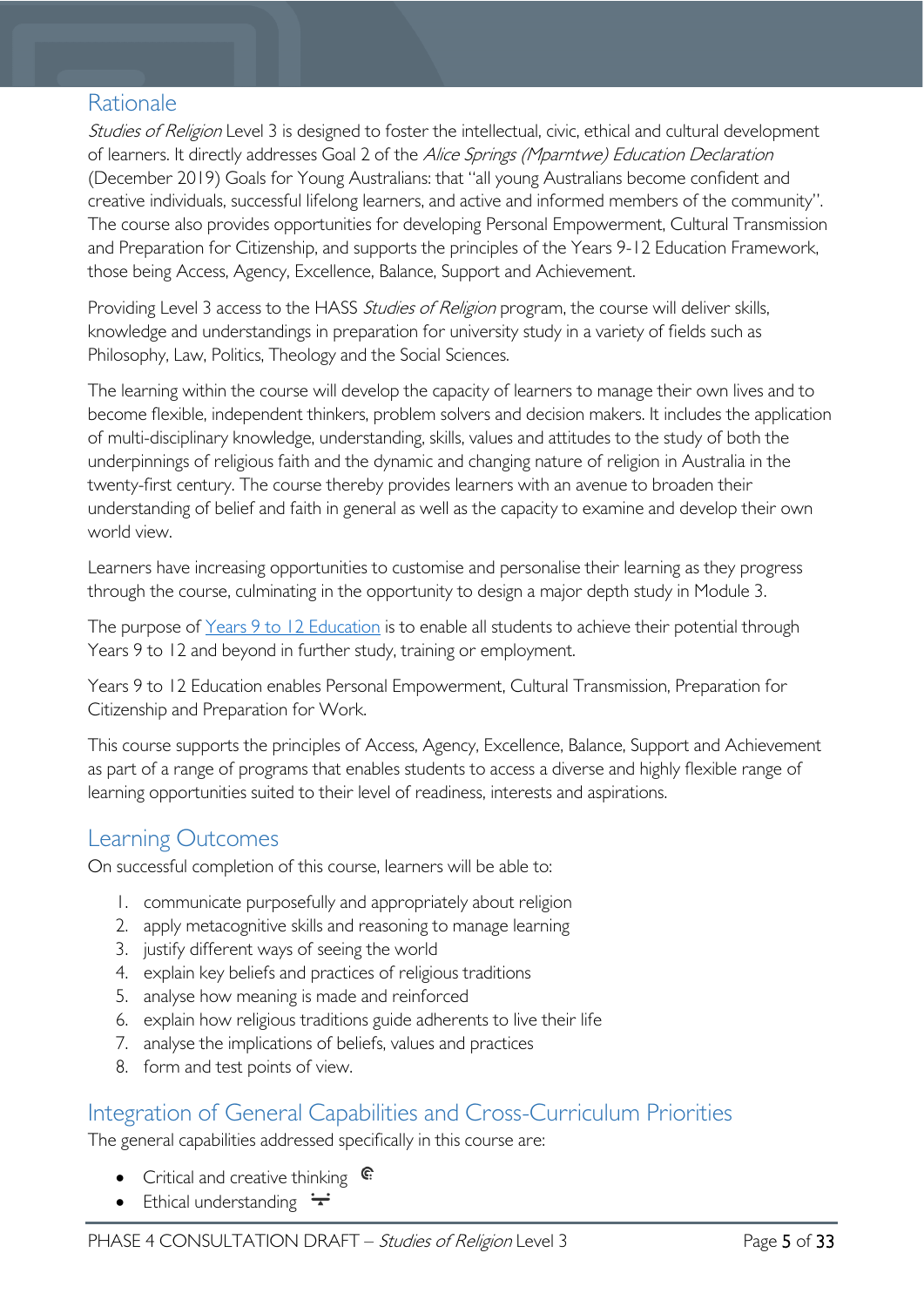# <span id="page-4-0"></span>Rationale

Studies of Religion Level 3 is designed to foster the intellectual, civic, ethical and cultural development of learners. It directly addresses Goal 2 of the Alice Springs (Mparntwe) Education Declaration (December 2019) Goals for Young Australians: that "all young Australians become confident and creative individuals, successful lifelong learners, and active and informed members of the community". The course also provides opportunities for developing Personal Empowerment, Cultural Transmission and Preparation for Citizenship, and supports the principles of the Years 9-12 Education Framework, those being Access, Agency, Excellence, Balance, Support and Achievement.

Providing Level 3 access to the HASS *Studies of Religion* program, the course will deliver skills, knowledge and understandings in preparation for university study in a variety of fields such as Philosophy, Law, Politics, Theology and the Social Sciences.

The learning within the course will develop the capacity of learners to manage their own lives and to become flexible, independent thinkers, problem solvers and decision makers. It includes the application of multi-disciplinary knowledge, understanding, skills, values and attitudes to the study of both the underpinnings of religious faith and the dynamic and changing nature of religion in Australia in the twenty-first century. The course thereby provides learners with an avenue to broaden their understanding of belief and faith in general as well as the capacity to examine and develop their own world view.

Learners have increasing opportunities to customise and personalise their learning as they progress through the course, culminating in the opportunity to design a major depth study in Module 3.

The purpose of [Years 9 to 12 Education](https://publicdocumentcentre.education.tas.gov.au/library/Shared%20Documents/Years-9-to-12-Education-Framework.pdf) is to enable all students to achieve their potential through Years 9 to 12 and beyond in further study, training or employment.

Years 9 to 12 Education enables Personal Empowerment, Cultural Transmission, Preparation for Citizenship and Preparation for Work.

This course supports the principles of Access, Agency, Excellence, Balance, Support and Achievement as part of a range of programs that enables students to access a diverse and highly flexible range of learning opportunities suited to their level of readiness, interests and aspirations.

# <span id="page-4-1"></span>Learning Outcomes

On successful completion of this course, learners will be able to:

- 1. communicate purposefully and appropriately about religion
- 2. apply metacognitive skills and reasoning to manage learning
- 3. justify different ways of seeing the world
- 4. explain key beliefs and practices of religious traditions
- 5. analyse how meaning is made and reinforced
- 6. explain how religious traditions guide adherents to live their life
- 7. analyse the implications of beliefs, values and practices
- 8. form and test points of view.

# <span id="page-4-2"></span>Integration of General Capabilities and Cross-Curriculum Priorities

The general capabilities addressed specifically in this course are:

- Critical and creative thinking  $\mathbb{C}$
- Ethical understanding  $\div$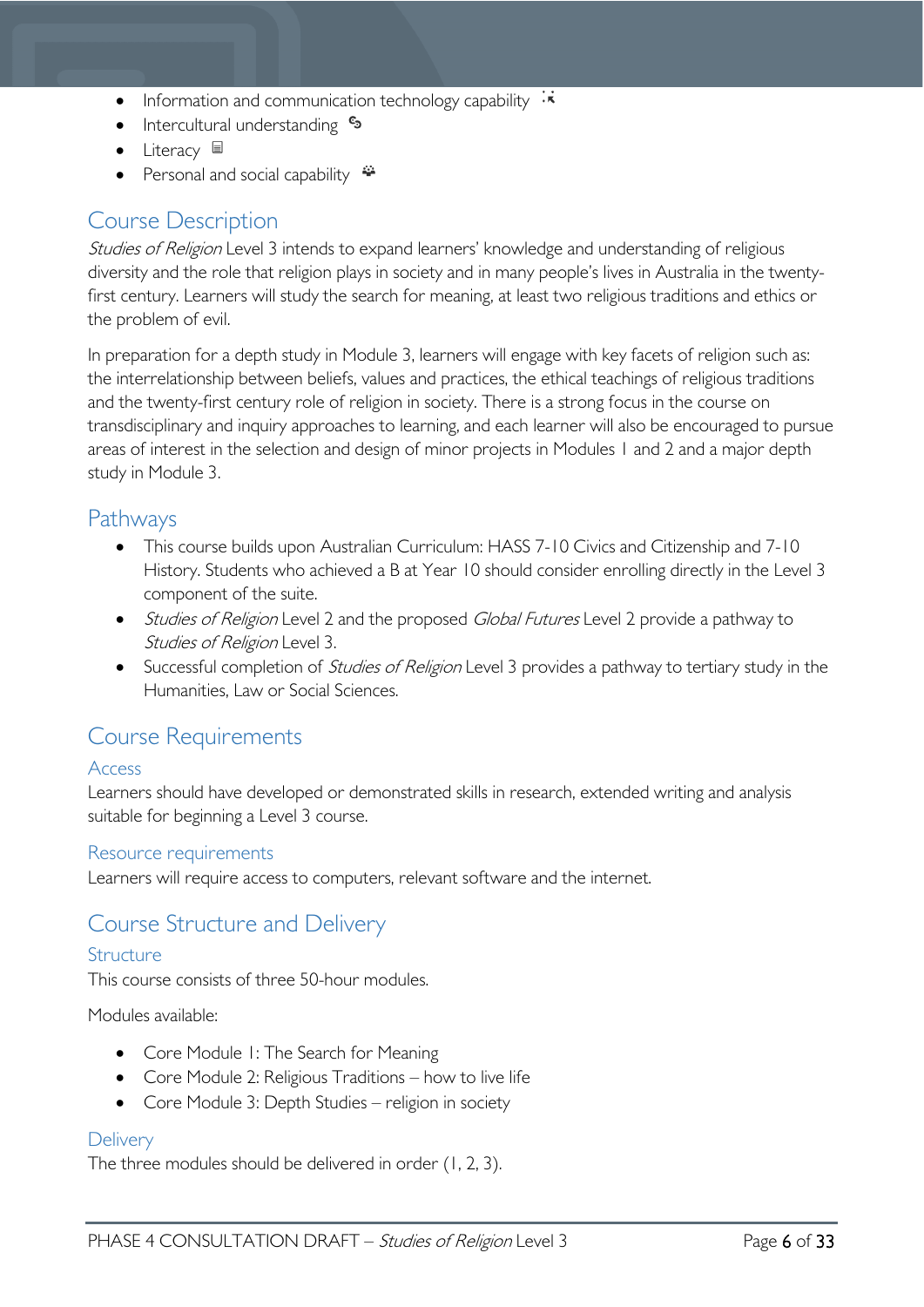- Information and communication technology capability  $\cdot\overline{\star}$
- Intercultural understanding •
- Literacy  $\blacksquare$
- Personal and social capability  $\ddot{\bullet}$

# <span id="page-5-0"></span>Course Description

Studies of Religion Level 3 intends to expand learners' knowledge and understanding of religious diversity and the role that religion plays in society and in many people's lives in Australia in the twentyfirst century. Learners will study the search for meaning, at least two religious traditions and ethics or the problem of evil.

In preparation for a depth study in Module 3, learners will engage with key facets of religion such as: the interrelationship between beliefs, values and practices, the ethical teachings of religious traditions and the twenty-first century role of religion in society. There is a strong focus in the course on transdisciplinary and inquiry approaches to learning, and each learner will also be encouraged to pursue areas of interest in the selection and design of minor projects in Modules 1 and 2 and a major depth study in Module 3.

### <span id="page-5-1"></span>**Pathways**

- This course builds upon Australian Curriculum: HASS 7-10 Civics and Citizenship and 7-10 History. Students who achieved a B at Year 10 should consider enrolling directly in the Level 3 component of the suite.
- Studies of Religion Level 2 and the proposed Global Futures Level 2 provide a pathway to Studies of Religion Level 3.
- Successful completion of *Studies of Religion* Level 3 provides a pathway to tertiary study in the Humanities, Law or Social Sciences.

# <span id="page-5-2"></span>Course Requirements

#### <span id="page-5-3"></span>Access

Learners should have developed or demonstrated skills in research, extended writing and analysis suitable for beginning a Level 3 course.

#### <span id="page-5-4"></span>Resource requirements

Learners will require access to computers, relevant software and the internet.

# <span id="page-5-5"></span>Course Structure and Delivery

#### <span id="page-5-6"></span>Structure

This course consists of three 50-hour modules.

Modules available:

- Core Module 1: The Search for Meaning
- Core Module 2: Religious Traditions how to live life
- Core Module 3: Depth Studies religion in society

#### <span id="page-5-7"></span>**Delivery**

The three modules should be delivered in order (1, 2, 3).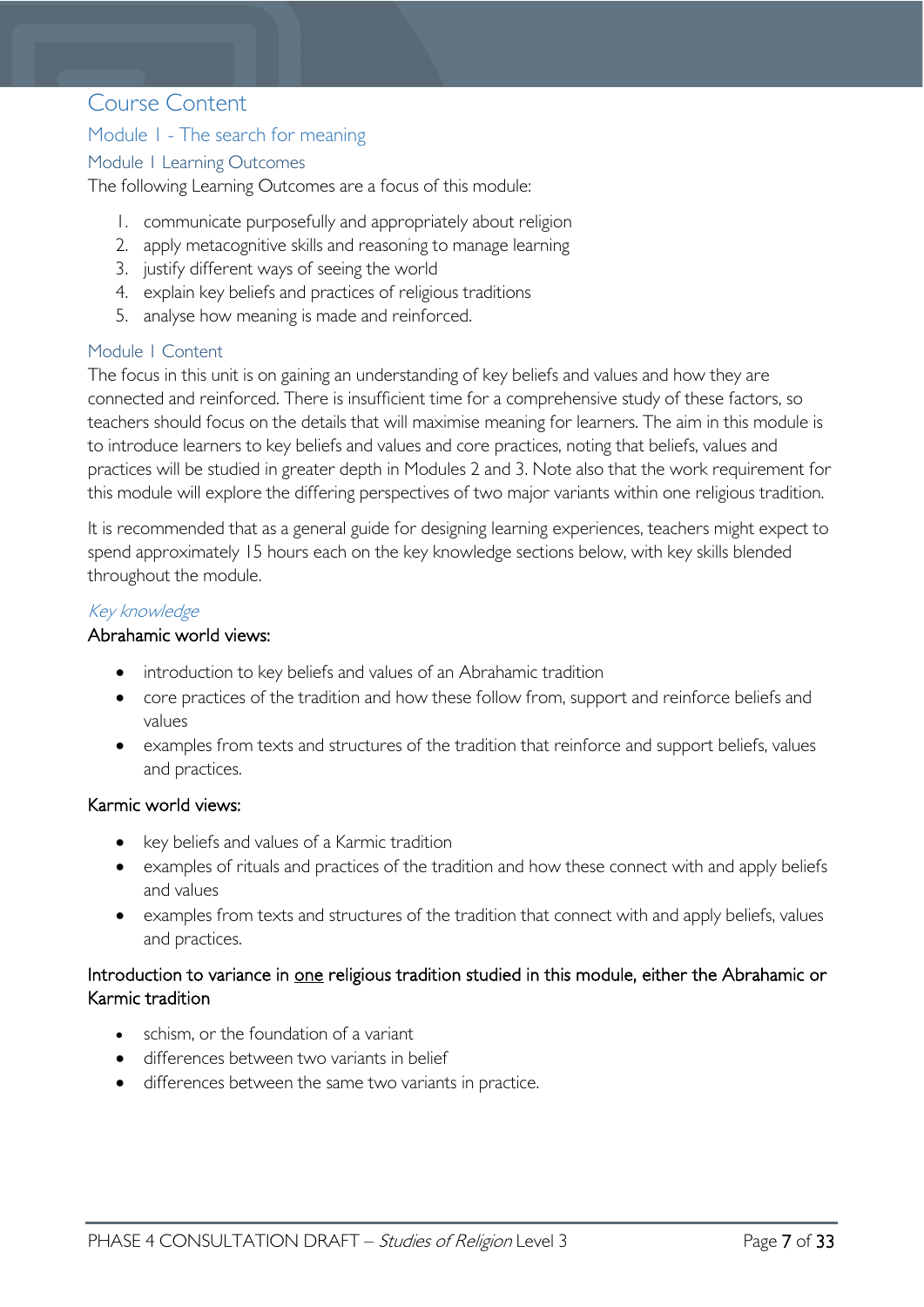# <span id="page-6-0"></span>Course Content

#### <span id="page-6-1"></span>Module 1 - The search for meaning

#### <span id="page-6-2"></span>Module 1 Learning Outcomes

The following Learning Outcomes are a focus of this module:

- 1. communicate purposefully and appropriately about religion
- 2. apply metacognitive skills and reasoning to manage learning
- 3. justify different ways of seeing the world
- 4. explain key beliefs and practices of religious traditions
- 5. analyse how meaning is made and reinforced.

#### <span id="page-6-3"></span>Module 1 Content

The focus in this unit is on gaining an understanding of key beliefs and values and how they are connected and reinforced. There is insufficient time for a comprehensive study of these factors, so teachers should focus on the details that will maximise meaning for learners. The aim in this module is to introduce learners to key beliefs and values and core practices, noting that beliefs, values and practices will be studied in greater depth in Modules 2 and 3. Note also that the work requirement for this module will explore the differing perspectives of two major variants within one religious tradition.

It is recommended that as a general guide for designing learning experiences, teachers might expect to spend approximately 15 hours each on the key knowledge sections below, with key skills blended throughout the module.

#### Key knowledge

#### Abrahamic world views:

- introduction to key beliefs and values of an Abrahamic tradition
- core practices of the tradition and how these follow from, support and reinforce beliefs and values
- examples from texts and structures of the tradition that reinforce and support beliefs, values and practices.

#### Karmic world views:

- key beliefs and values of a Karmic tradition
- examples of rituals and practices of the tradition and how these connect with and apply beliefs and values
- examples from texts and structures of the tradition that connect with and apply beliefs, values and practices.

#### Introduction to variance in one religious tradition studied in this module, either the Abrahamic or Karmic tradition

- schism, or the foundation of a variant
- differences between two variants in belief
- differences between the same two variants in practice.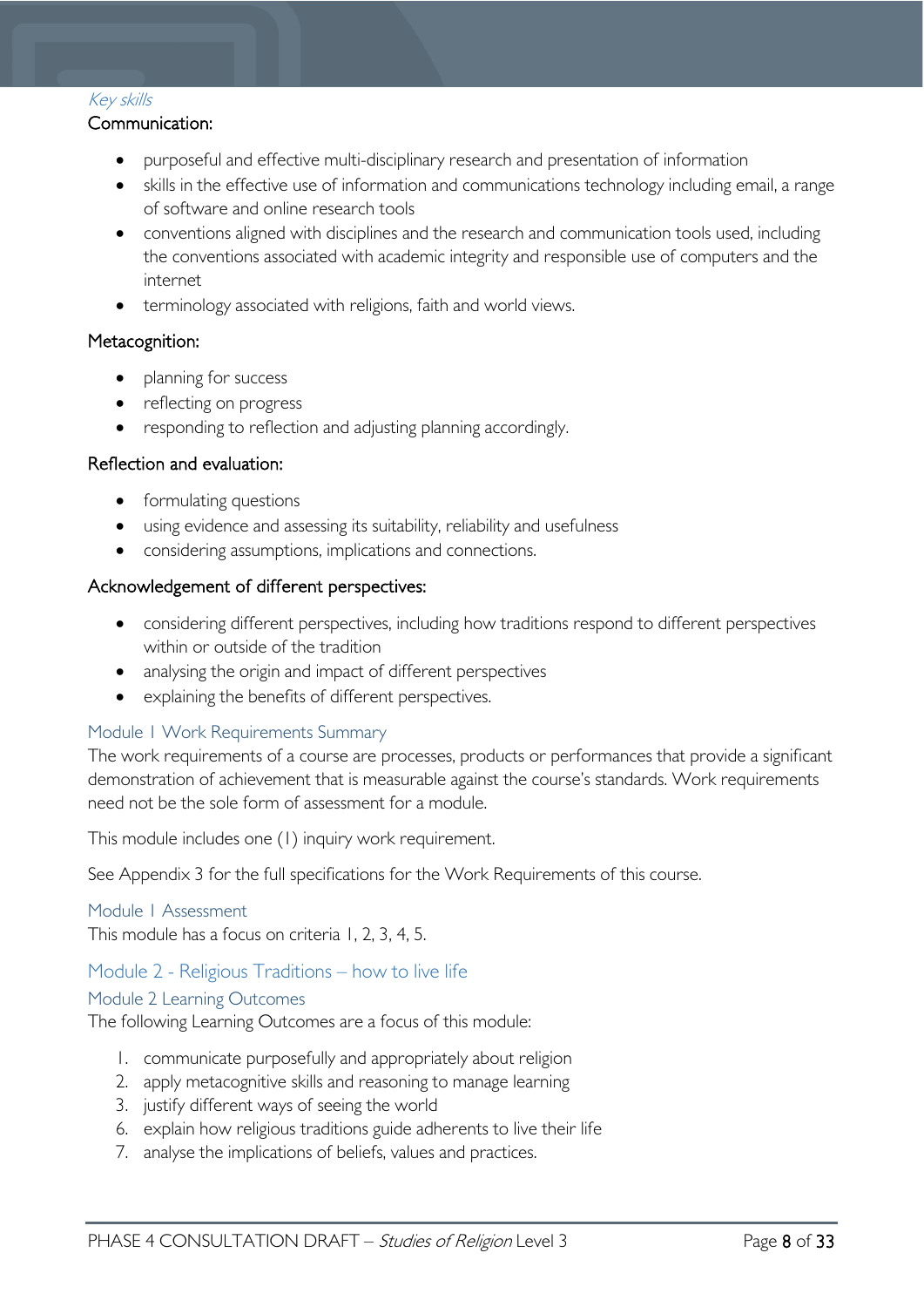#### Key skills

#### Communication:

- purposeful and effective multi-disciplinary research and presentation of information
- skills in the effective use of information and communications technology including email, a range of software and online research tools
- conventions aligned with disciplines and the research and communication tools used, including the conventions associated with academic integrity and responsible use of computers and the internet
- terminology associated with religions, faith and world views.

#### Metacognition:

- planning for success
- reflecting on progress
- responding to reflection and adjusting planning accordingly.

#### Reflection and evaluation:

- formulating questions
- using evidence and assessing its suitability, reliability and usefulness
- considering assumptions, implications and connections.

#### Acknowledgement of different perspectives:

- considering different perspectives, including how traditions respond to different perspectives within or outside of the tradition
- analysing the origin and impact of different perspectives
- explaining the benefits of different perspectives.

#### <span id="page-7-0"></span>Module 1 Work Requirements Summary

The work requirements of a course are processes, products or performances that provide a significant demonstration of achievement that is measurable against the course's standards. Work requirements need not be the sole form of assessment for a module.

This module includes one (1) inquiry work requirement.

See Appendix 3 for the full specifications for the Work Requirements of this course.

#### <span id="page-7-1"></span>Module 1 Assessment

This module has a focus on criteria 1, 2, 3, 4, 5.

#### <span id="page-7-2"></span>Module 2 - Religious Traditions – how to live life

#### <span id="page-7-3"></span>Module 2 Learning Outcomes

The following Learning Outcomes are a focus of this module:

- 1. communicate purposefully and appropriately about religion
- 2. apply metacognitive skills and reasoning to manage learning
- 3. justify different ways of seeing the world
- 6. explain how religious traditions guide adherents to live their life
- 7. analyse the implications of beliefs, values and practices.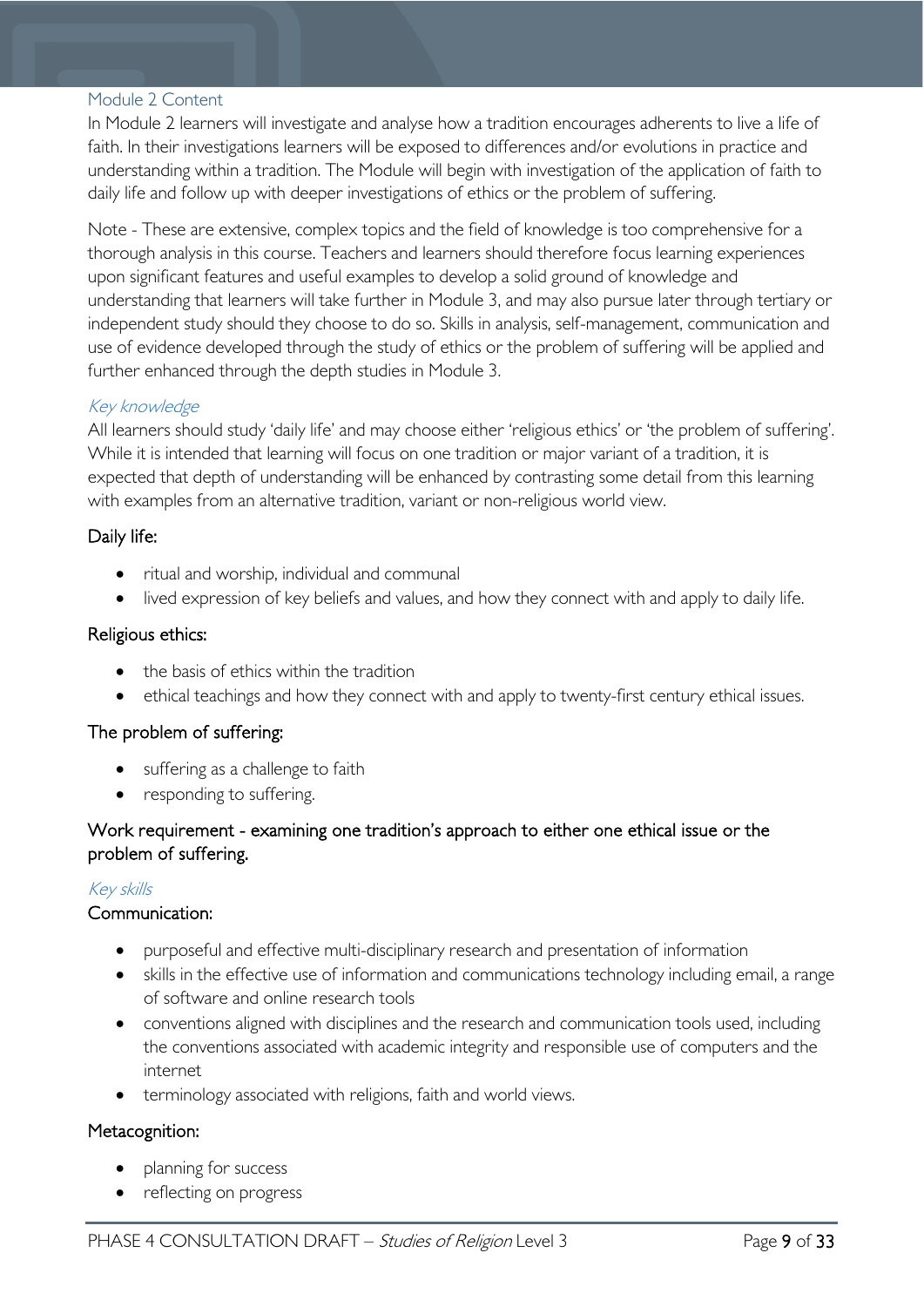#### <span id="page-8-0"></span>Module 2 Content

In Module 2 learners will investigate and analyse how a tradition encourages adherents to live a life of faith. In their investigations learners will be exposed to differences and/or evolutions in practice and understanding within a tradition. The Module will begin with investigation of the application of faith to daily life and follow up with deeper investigations of ethics or the problem of suffering.

Note - These are extensive, complex topics and the field of knowledge is too comprehensive for a thorough analysis in this course. Teachers and learners should therefore focus learning experiences upon significant features and useful examples to develop a solid ground of knowledge and understanding that learners will take further in Module 3, and may also pursue later through tertiary or independent study should they choose to do so. Skills in analysis, self-management, communication and use of evidence developed through the study of ethics or the problem of suffering will be applied and further enhanced through the depth studies in Module 3.

#### Key knowledge

All learners should study 'daily life' and may choose either 'religious ethics' or 'the problem of suffering'. While it is intended that learning will focus on one tradition or major variant of a tradition, it is expected that depth of understanding will be enhanced by contrasting some detail from this learning with examples from an alternative tradition, variant or non-religious world view.

#### Daily life:

- ritual and worship, individual and communal
- lived expression of key beliefs and values, and how they connect with and apply to daily life.

#### Religious ethics:

- the basis of ethics within the tradition
- ethical teachings and how they connect with and apply to twenty-first century ethical issues.

#### The problem of suffering:

- suffering as a challenge to faith
- responding to suffering.

#### Work requirement - examining one tradition's approach to either one ethical issue or the problem of suffering.

#### Key skills

#### Communication:

- purposeful and effective multi-disciplinary research and presentation of information
- skills in the effective use of information and communications technology including email, a range of software and online research tools
- conventions aligned with disciplines and the research and communication tools used, including the conventions associated with academic integrity and responsible use of computers and the internet
- terminology associated with religions, faith and world views.

#### Metacognition:

- planning for success
- reflecting on progress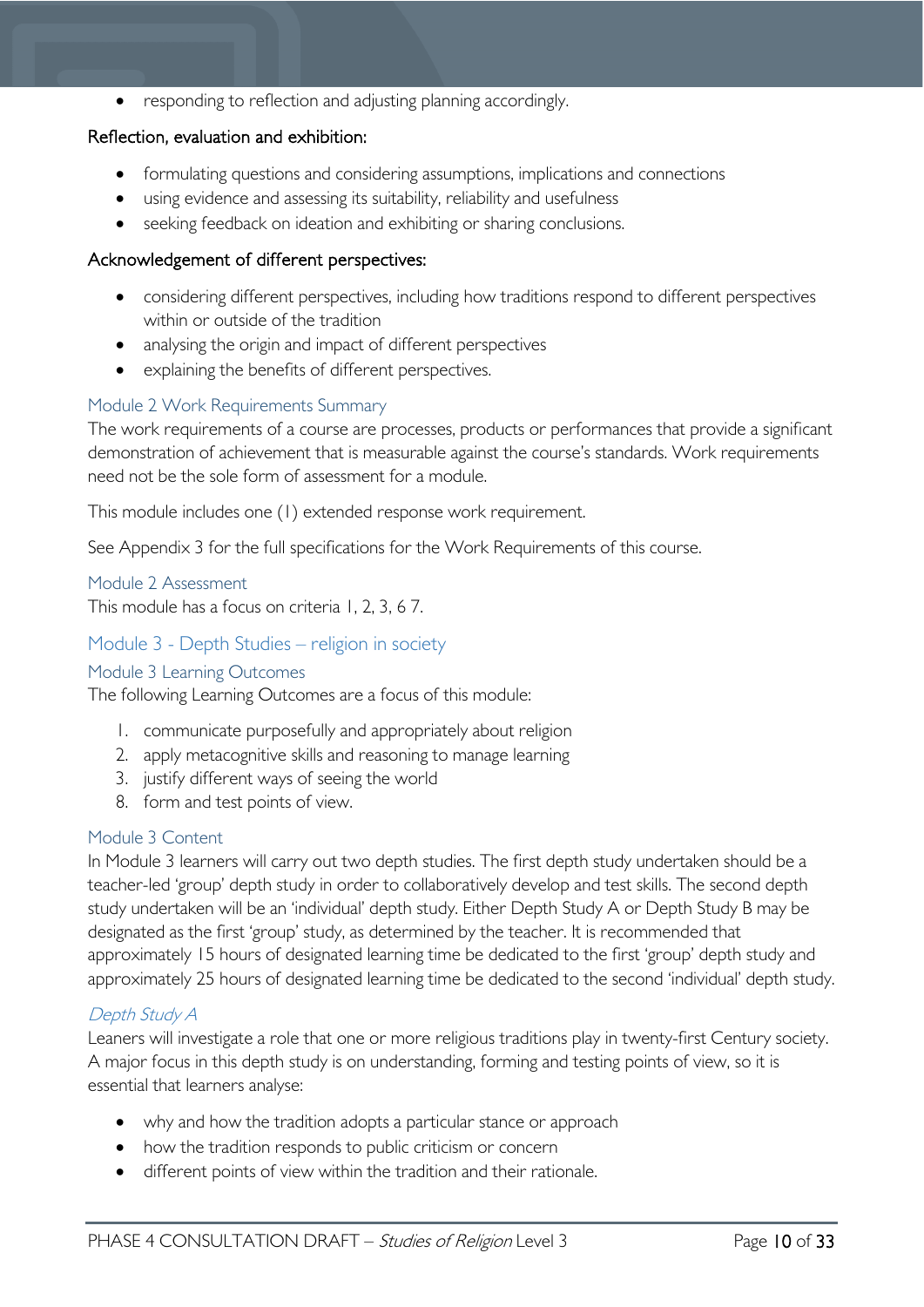• responding to reflection and adjusting planning accordingly.

#### Reflection, evaluation and exhibition:

- formulating questions and considering assumptions, implications and connections
- using evidence and assessing its suitability, reliability and usefulness
- seeking feedback on ideation and exhibiting or sharing conclusions.

#### Acknowledgement of different perspectives:

- considering different perspectives, including how traditions respond to different perspectives within or outside of the tradition
- analysing the origin and impact of different perspectives
- explaining the benefits of different perspectives.

#### <span id="page-9-0"></span>Module 2 Work Requirements Summary

The work requirements of a course are processes, products or performances that provide a significant demonstration of achievement that is measurable against the course's standards. Work requirements need not be the sole form of assessment for a module.

This module includes one (1) extended response work requirement.

See Appendix 3 for the full specifications for the Work Requirements of this course.

#### <span id="page-9-1"></span>Module 2 Assessment

This module has a focus on criteria 1, 2, 3, 6 7.

<span id="page-9-3"></span><span id="page-9-2"></span>Module 3 - Depth Studies – religion in society Module 3 Learning Outcomes

The following Learning Outcomes are a focus of this module:

- 1. communicate purposefully and appropriately about religion
- 2. apply metacognitive skills and reasoning to manage learning
- 3. justify different ways of seeing the world
- 8. form and test points of view.

#### <span id="page-9-4"></span>Module 3 Content

In Module 3 learners will carry out two depth studies. The first depth study undertaken should be a teacher-led 'group' depth study in order to collaboratively develop and test skills. The second depth study undertaken will be an 'individual' depth study. Either Depth Study A or Depth Study B may be designated as the first 'group' study, as determined by the teacher. It is recommended that approximately 15 hours of designated learning time be dedicated to the first 'group' depth study and approximately 25 hours of designated learning time be dedicated to the second 'individual' depth study.

#### Depth Study A

Leaners will investigate a role that one or more religious traditions play in twenty-first Century society. A major focus in this depth study is on understanding, forming and testing points of view, so it is essential that learners analyse:

- why and how the tradition adopts a particular stance or approach
- how the tradition responds to public criticism or concern
- different points of view within the tradition and their rationale.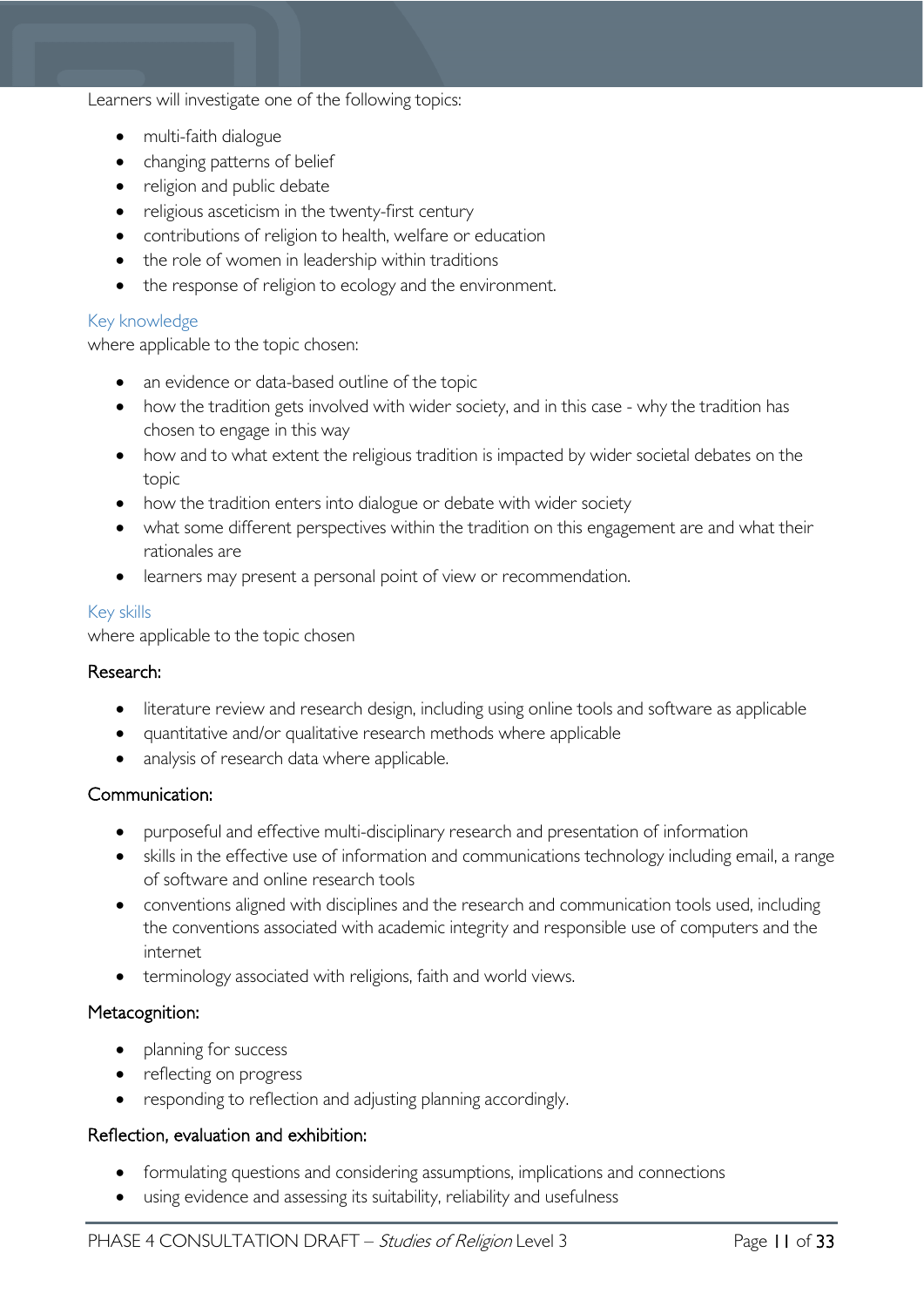#### Learners will investigate one of the following topics:

- multi-faith dialogue
- changing patterns of belief
- religion and public debate
- religious asceticism in the twenty-first century
- contributions of religion to health, welfare or education
- the role of women in leadership within traditions
- the response of religion to ecology and the environment.

#### Key knowledge

where applicable to the topic chosen:

- an evidence or data-based outline of the topic
- how the tradition gets involved with wider society, and in this case why the tradition has chosen to engage in this way
- how and to what extent the religious tradition is impacted by wider societal debates on the topic
- how the tradition enters into dialogue or debate with wider society
- what some different perspectives within the tradition on this engagement are and what their rationales are
- learners may present a personal point of view or recommendation.

#### Key skills

where applicable to the topic chosen

#### Research:

- literature review and research design, including using online tools and software as applicable
- quantitative and/or qualitative research methods where applicable
- analysis of research data where applicable.

#### Communication:

- purposeful and effective multi-disciplinary research and presentation of information
- skills in the effective use of information and communications technology including email, a range of software and online research tools
- conventions aligned with disciplines and the research and communication tools used, including the conventions associated with academic integrity and responsible use of computers and the internet
- terminology associated with religions, faith and world views.

#### Metacognition:

- planning for success
- reflecting on progress
- responding to reflection and adjusting planning accordingly.

#### Reflection, evaluation and exhibition:

- formulating questions and considering assumptions, implications and connections
- using evidence and assessing its suitability, reliability and usefulness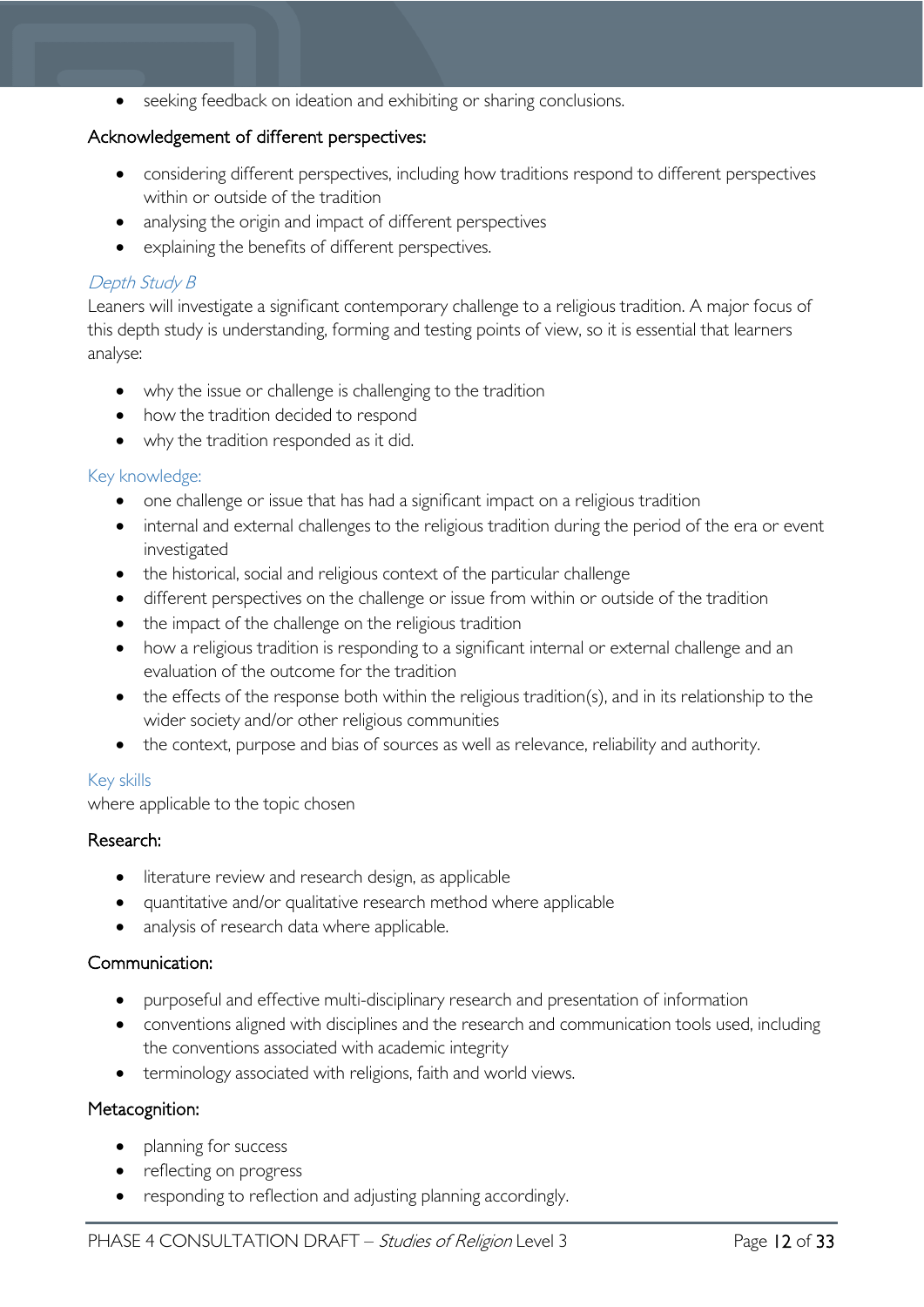• seeking feedback on ideation and exhibiting or sharing conclusions.

#### Acknowledgement of different perspectives:

- considering different perspectives, including how traditions respond to different perspectives within or outside of the tradition
- analysing the origin and impact of different perspectives
- explaining the benefits of different perspectives.

#### Depth Study B

Leaners will investigate a significant contemporary challenge to a religious tradition. A major focus of this depth study is understanding, forming and testing points of view, so it is essential that learners analyse:

- why the issue or challenge is challenging to the tradition
- how the tradition decided to respond
- why the tradition responded as it did.

#### Key knowledge:

- one challenge or issue that has had a significant impact on a religious tradition
- internal and external challenges to the religious tradition during the period of the era or event investigated
- the historical, social and religious context of the particular challenge
- different perspectives on the challenge or issue from within or outside of the tradition
- the impact of the challenge on the religious tradition
- how a religious tradition is responding to a significant internal or external challenge and an evaluation of the outcome for the tradition
- the effects of the response both within the religious tradition(s), and in its relationship to the wider society and/or other religious communities
- the context, purpose and bias of sources as well as relevance, reliability and authority.

#### Key skills

where applicable to the topic chosen

#### Research:

- literature review and research design, as applicable
- quantitative and/or qualitative research method where applicable
- analysis of research data where applicable.

#### Communication:

- purposeful and effective multi-disciplinary research and presentation of information
- conventions aligned with disciplines and the research and communication tools used, including the conventions associated with academic integrity
- terminology associated with religions, faith and world views.

#### Metacognition:

- planning for success
- reflecting on progress
- responding to reflection and adjusting planning accordingly.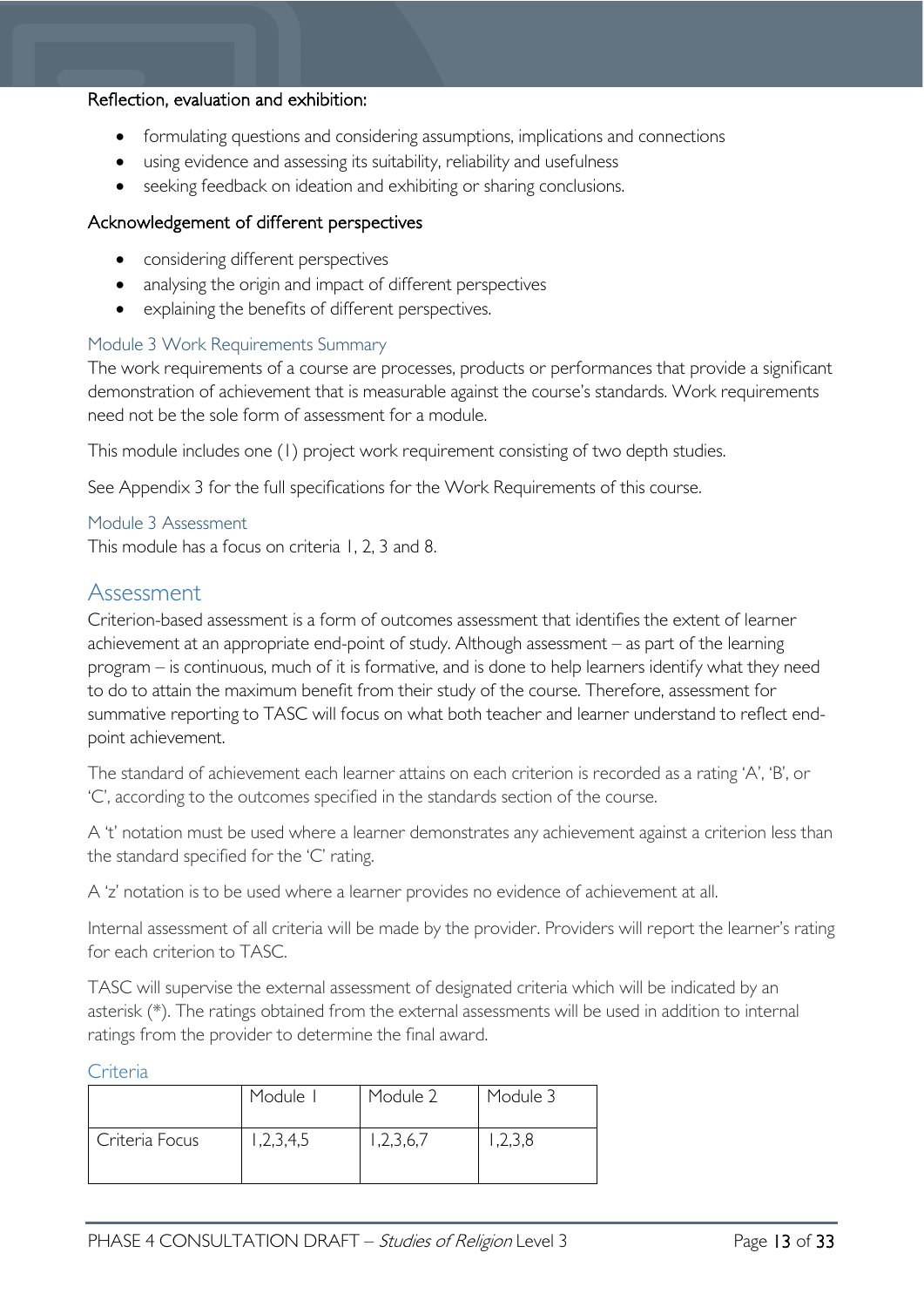#### Reflection, evaluation and exhibition:

- formulating questions and considering assumptions, implications and connections
- using evidence and assessing its suitability, reliability and usefulness
- seeking feedback on ideation and exhibiting or sharing conclusions.

#### Acknowledgement of different perspectives

- considering different perspectives
- analysing the origin and impact of different perspectives
- explaining the benefits of different perspectives.

#### <span id="page-12-0"></span>Module 3 Work Requirements Summary

The work requirements of a course are processes, products or performances that provide a significant demonstration of achievement that is measurable against the course's standards. Work requirements need not be the sole form of assessment for a module.

This module includes one (1) project work requirement consisting of two depth studies.

See Appendix 3 for the full specifications for the Work Requirements of this course.

#### <span id="page-12-1"></span>Module 3 Assessment

This module has a focus on criteria 1, 2, 3 and 8.

# <span id="page-12-2"></span>Assessment

Criterion-based assessment is a form of outcomes assessment that identifies the extent of learner achievement at an appropriate end-point of study. Although assessment – as part of the learning program – is continuous, much of it is formative, and is done to help learners identify what they need to do to attain the maximum benefit from their study of the course. Therefore, assessment for summative reporting to TASC will focus on what both teacher and learner understand to reflect endpoint achievement.

The standard of achievement each learner attains on each criterion is recorded as a rating 'A', 'B', or 'C', according to the outcomes specified in the standards section of the course.

A 't' notation must be used where a learner demonstrates any achievement against a criterion less than the standard specified for the 'C' rating.

A 'z' notation is to be used where a learner provides no evidence of achievement at all.

Internal assessment of all criteria will be made by the provider. Providers will report the learner's rating for each criterion to TASC.

TASC will supervise the external assessment of designated criteria which will be indicated by an asterisk (\*). The ratings obtained from the external assessments will be used in addition to internal ratings from the provider to determine the final award.

#### <span id="page-12-3"></span>Criteria

|                | Module I  | Module 2 | Module 3  |
|----------------|-----------|----------|-----------|
| Criteria Focus | 1,2,3,4,5 | ,2,3,6,7 | , 2, 3, 8 |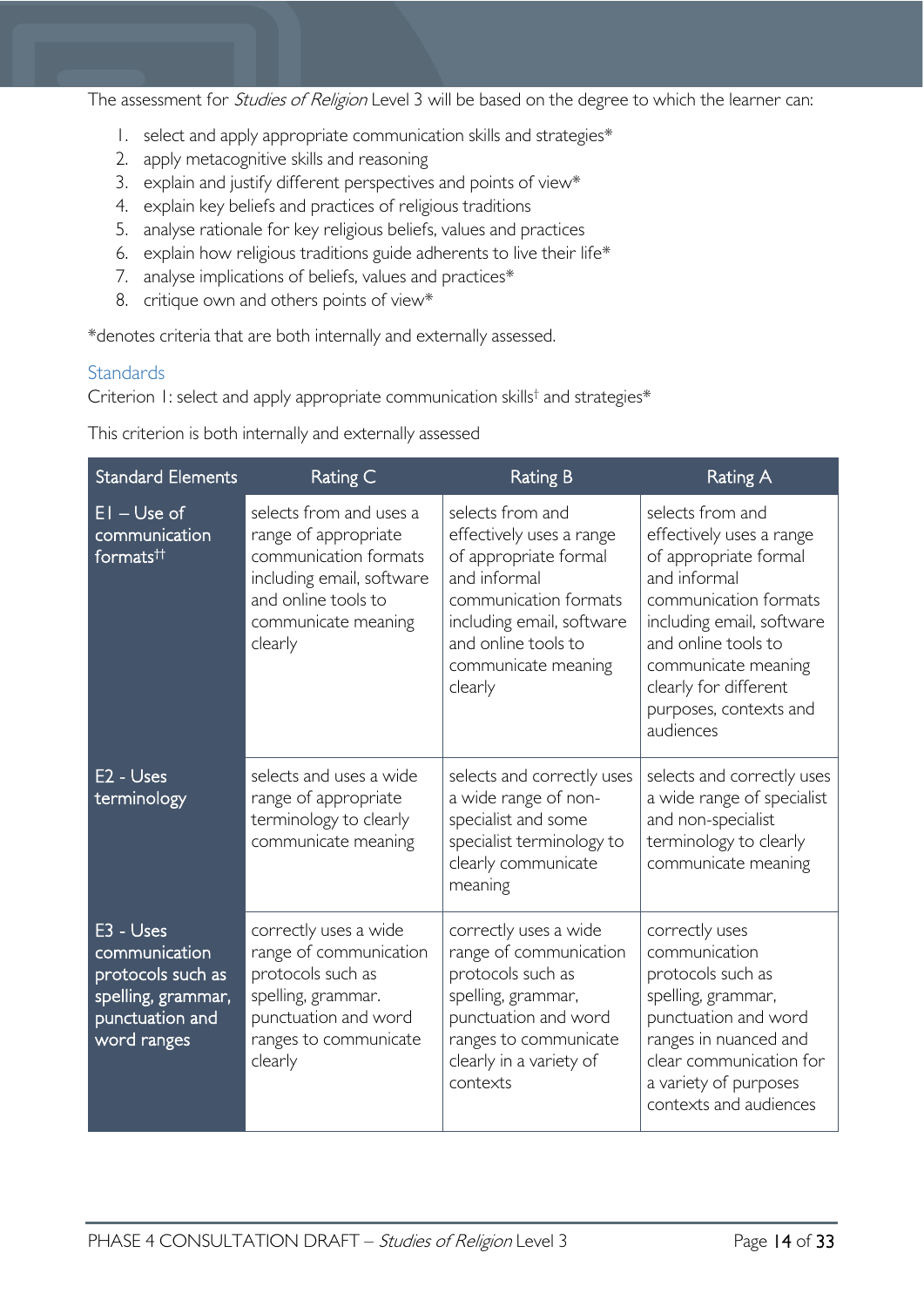The assessment for *Studies of Religion* Level 3 will be based on the degree to which the learner can:

- 1. select and apply appropriate communication skills and strategies\*
- 2. apply metacognitive skills and reasoning
- 3. explain and justify different perspectives and points of view\*
- 4. explain key beliefs and practices of religious traditions
- 5. analyse rationale for key religious beliefs, values and practices
- 6. explain how religious traditions guide adherents to live their life\*
- 7. analyse implications of beliefs, values and practices\*
- 8. critique own and others points of view\*

\*denotes criteria that are both internally and externally assessed.

#### <span id="page-13-0"></span>**Standards**

Criterion 1: select and apply appropriate communication skills† and strategies\*

This criterion is both internally and externally assessed

| <b>Standard Elements</b>                                                                                | Rating C                                                                                                                                                       | <b>Rating B</b>                                                                                                                                                                                      | <b>Rating A</b>                                                                                                                                                                                                                                           |
|---------------------------------------------------------------------------------------------------------|----------------------------------------------------------------------------------------------------------------------------------------------------------------|------------------------------------------------------------------------------------------------------------------------------------------------------------------------------------------------------|-----------------------------------------------------------------------------------------------------------------------------------------------------------------------------------------------------------------------------------------------------------|
| $EI$ – Use of<br>communication<br>formats <sup>tt</sup>                                                 | selects from and uses a<br>range of appropriate<br>communication formats<br>including email, software<br>and online tools to<br>communicate meaning<br>clearly | selects from and<br>effectively uses a range<br>of appropriate formal<br>and informal<br>communication formats<br>including email, software<br>and online tools to<br>communicate meaning<br>clearly | selects from and<br>effectively uses a range<br>of appropriate formal<br>and informal<br>communication formats<br>including email, software<br>and online tools to<br>communicate meaning<br>clearly for different<br>purposes, contexts and<br>audiences |
| E <sub>2</sub> - Uses<br>terminology                                                                    | selects and uses a wide<br>range of appropriate<br>terminology to clearly<br>communicate meaning                                                               | selects and correctly uses<br>a wide range of non-<br>specialist and some<br>specialist terminology to<br>clearly communicate<br>meaning                                                             | selects and correctly uses<br>a wide range of specialist<br>and non-specialist<br>terminology to clearly<br>communicate meaning                                                                                                                           |
| E3 - Uses<br>communication<br>protocols such as<br>spelling, grammar,<br>punctuation and<br>word ranges | correctly uses a wide<br>range of communication<br>protocols such as<br>spelling, grammar.<br>punctuation and word<br>ranges to communicate<br>clearly         | correctly uses a wide<br>range of communication<br>protocols such as<br>spelling, grammar,<br>punctuation and word<br>ranges to communicate<br>clearly in a variety of<br>contexts                   | correctly uses<br>communication<br>protocols such as<br>spelling, grammar,<br>punctuation and word<br>ranges in nuanced and<br>clear communication for<br>a variety of purposes<br>contexts and audiences                                                 |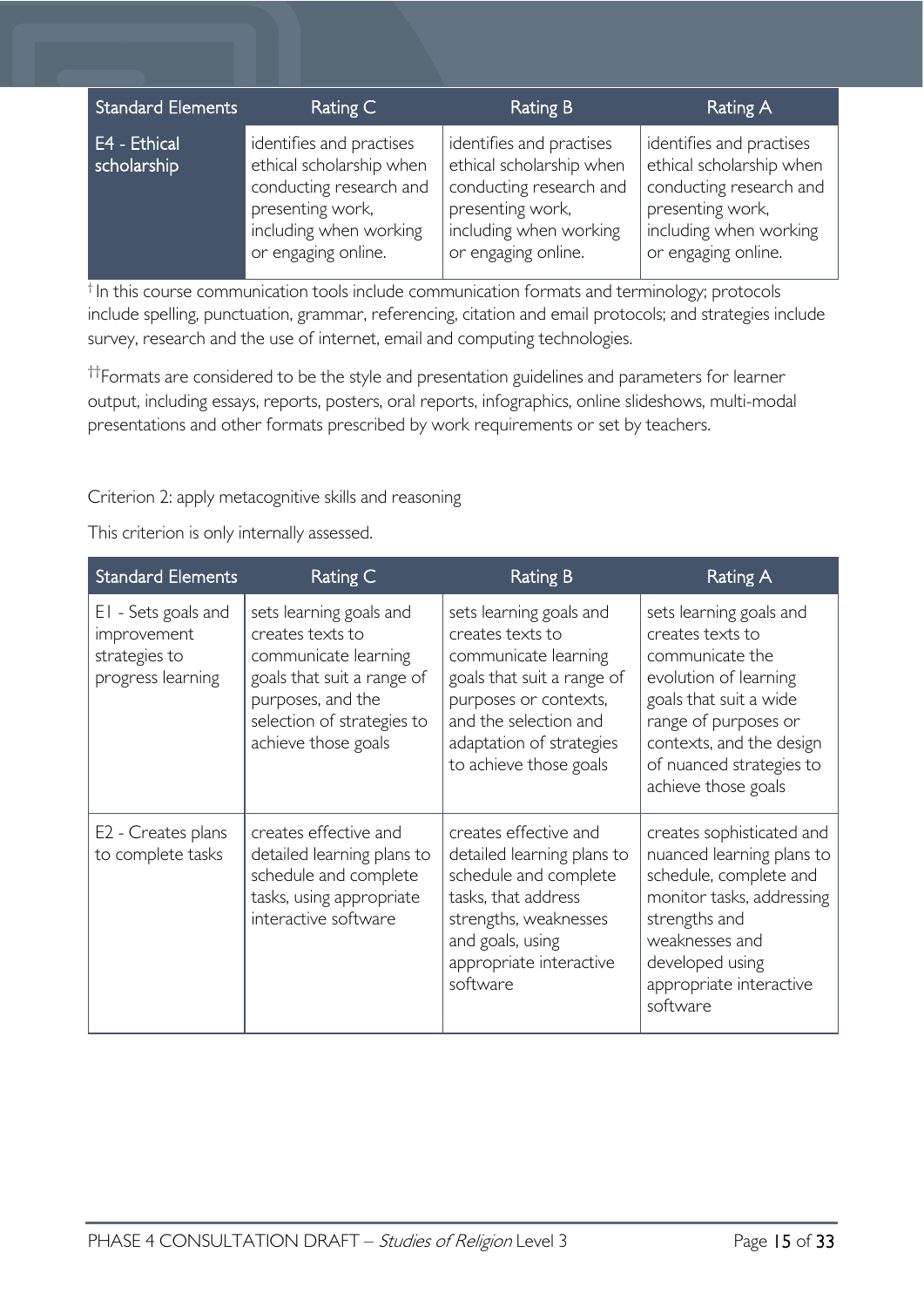| <b>Standard Elements</b>    | Rating C                                                                                                                                             | Rating B                                                                                                                                             | Rating A                                                                                                                                             |
|-----------------------------|------------------------------------------------------------------------------------------------------------------------------------------------------|------------------------------------------------------------------------------------------------------------------------------------------------------|------------------------------------------------------------------------------------------------------------------------------------------------------|
| E4 - Ethical<br>scholarship | identifies and practises<br>ethical scholarship when<br>conducting research and<br>presenting work,<br>including when working<br>or engaging online. | identifies and practises<br>ethical scholarship when<br>conducting research and<br>presenting work,<br>including when working<br>or engaging online. | identifies and practises<br>ethical scholarship when<br>conducting research and<br>presenting work,<br>including when working<br>or engaging online. |

† In this course communication tools include communication formats and terminology; protocols include spelling, punctuation, grammar, referencing, citation and email protocols; and strategies include survey, research and the use of internet, email and computing technologies.

†† Formats are considered to be the style and presentation guidelines and parameters for learner output, including essays, reports, posters, oral reports, infographics, online slideshows, multi-modal presentations and other formats prescribed by work requirements or set by teachers.

Criterion 2: apply metacognitive skills and reasoning

This criterion is only internally assessed.

| <b>Standard Elements</b>                                                 | Rating C                                                                                                                                                                    | <b>Rating B</b>                                                                                                                                                                                           | Rating A                                                                                                                                                                                                                 |
|--------------------------------------------------------------------------|-----------------------------------------------------------------------------------------------------------------------------------------------------------------------------|-----------------------------------------------------------------------------------------------------------------------------------------------------------------------------------------------------------|--------------------------------------------------------------------------------------------------------------------------------------------------------------------------------------------------------------------------|
| EI - Sets goals and<br>improvement<br>strategies to<br>progress learning | sets learning goals and<br>creates texts to<br>communicate learning<br>goals that suit a range of<br>purposes, and the<br>selection of strategies to<br>achieve those goals | sets learning goals and<br>creates texts to<br>communicate learning<br>goals that suit a range of<br>purposes or contexts,<br>and the selection and<br>adaptation of strategies<br>to achieve those goals | sets learning goals and<br>creates texts to<br>communicate the<br>evolution of learning<br>goals that suit a wide<br>range of purposes or<br>contexts, and the design<br>of nuanced strategies to<br>achieve those goals |
| E <sub>2</sub> - Creates plans<br>to complete tasks                      | creates effective and<br>detailed learning plans to<br>schedule and complete<br>tasks, using appropriate<br>interactive software                                            | creates effective and<br>detailed learning plans to<br>schedule and complete<br>tasks, that address<br>strengths, weaknesses<br>and goals, using<br>appropriate interactive<br>software                   | creates sophisticated and<br>nuanced learning plans to<br>schedule, complete and<br>monitor tasks, addressing<br>strengths and<br>weaknesses and<br>developed using<br>appropriate interactive<br>software               |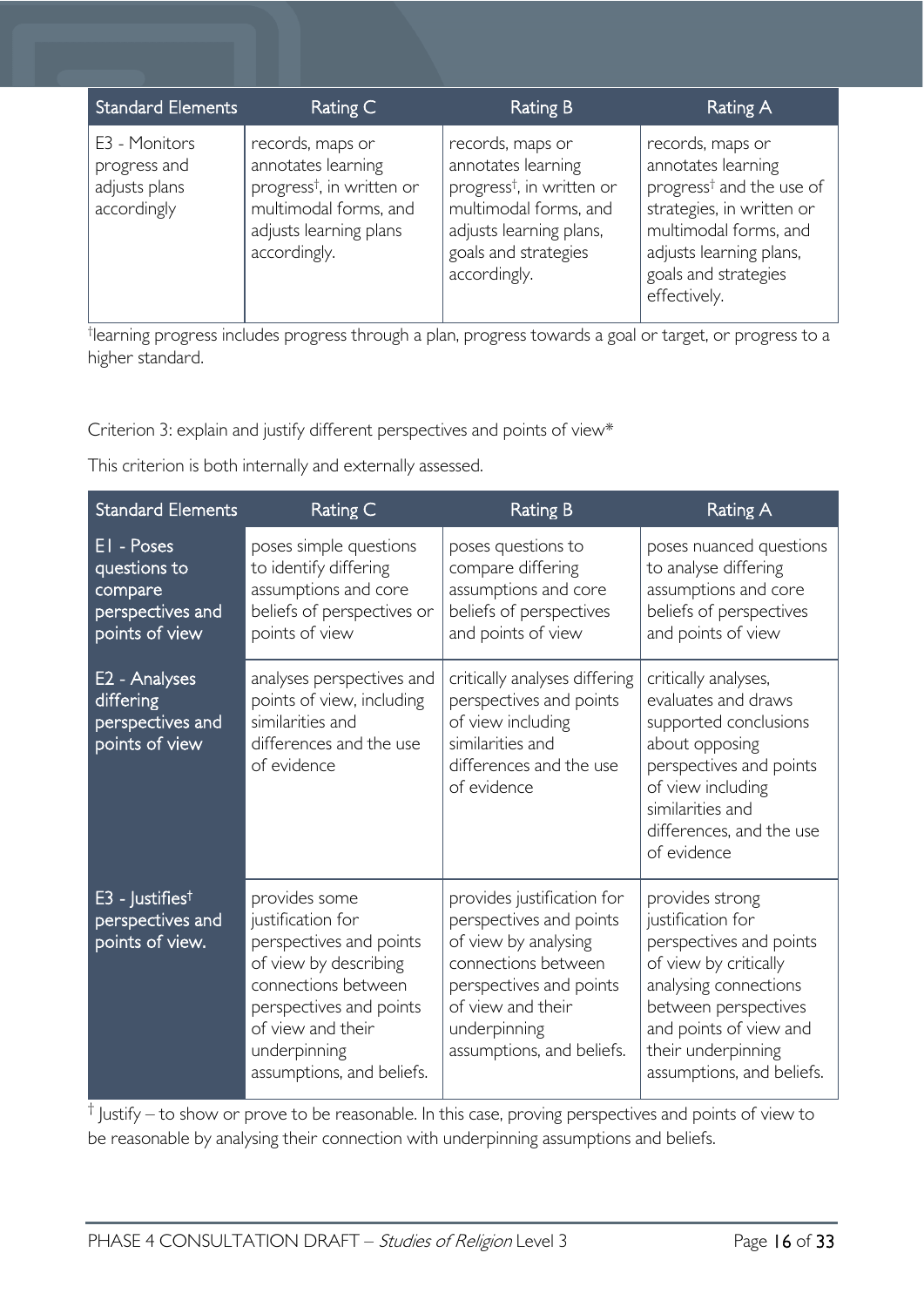| <b>Standard Elements</b>                                      | Rating C                                                                                                                                           | Rating B                                                                                                                                                                    | Rating A                                                                                                                                                                                                |
|---------------------------------------------------------------|----------------------------------------------------------------------------------------------------------------------------------------------------|-----------------------------------------------------------------------------------------------------------------------------------------------------------------------------|---------------------------------------------------------------------------------------------------------------------------------------------------------------------------------------------------------|
| E3 - Monitors<br>progress and<br>adjusts plans<br>accordingly | records, maps or<br>annotates learning<br>progress <sup>†</sup> , in written or<br>multimodal forms, and<br>adjusts learning plans<br>accordingly. | records, maps or<br>annotates learning<br>progress <sup>†</sup> , in written or<br>multimodal forms, and<br>adjusts learning plans,<br>goals and strategies<br>accordingly. | records, maps or<br>annotates learning<br>progress <sup>†</sup> and the use of<br>strategies, in written or<br>multimodal forms, and<br>adjusts learning plans,<br>goals and strategies<br>effectively. |

† learning progress includes progress through a plan, progress towards a goal or target, or progress to a higher standard.

Criterion 3: explain and justify different perspectives and points of view\*

This criterion is both internally and externally assessed.

| <b>Standard Elements</b>                                                     | Rating C                                                                                                                                                                                                   | <b>Rating B</b>                                                                                                                                                                                   | <b>Rating A</b>                                                                                                                                                                                                        |
|------------------------------------------------------------------------------|------------------------------------------------------------------------------------------------------------------------------------------------------------------------------------------------------------|---------------------------------------------------------------------------------------------------------------------------------------------------------------------------------------------------|------------------------------------------------------------------------------------------------------------------------------------------------------------------------------------------------------------------------|
| EI - Poses<br>questions to<br>compare<br>perspectives and<br>points of view  | poses simple questions<br>to identify differing<br>assumptions and core<br>beliefs of perspectives or<br>points of view                                                                                    | poses questions to<br>compare differing<br>assumptions and core<br>beliefs of perspectives<br>and points of view                                                                                  | poses nuanced questions<br>to analyse differing<br>assumptions and core<br>beliefs of perspectives<br>and points of view                                                                                               |
| E <sub>2</sub> - Analyses<br>differing<br>perspectives and<br>points of view | analyses perspectives and<br>points of view, including<br>similarities and<br>differences and the use<br>of evidence                                                                                       | critically analyses differing<br>perspectives and points<br>of view including<br>similarities and<br>differences and the use<br>of evidence                                                       | critically analyses,<br>evaluates and draws<br>supported conclusions<br>about opposing<br>perspectives and points<br>of view including<br>similarities and<br>differences, and the use<br>of evidence                  |
| $E3$ - Justifies <sup>†</sup><br>perspectives and<br>points of view.         | provides some<br>justification for<br>perspectives and points<br>of view by describing<br>connections between<br>perspectives and points<br>of view and their<br>underpinning<br>assumptions, and beliefs. | provides justification for<br>perspectives and points<br>of view by analysing<br>connections between<br>perspectives and points<br>of view and their<br>underpinning<br>assumptions, and beliefs. | provides strong<br>justification for<br>perspectives and points<br>of view by critically<br>analysing connections<br>between perspectives<br>and points of view and<br>their underpinning<br>assumptions, and beliefs. |

 $\dagger$  Justify – to show or prove to be reasonable. In this case, proving perspectives and points of view to be reasonable by analysing their connection with underpinning assumptions and beliefs.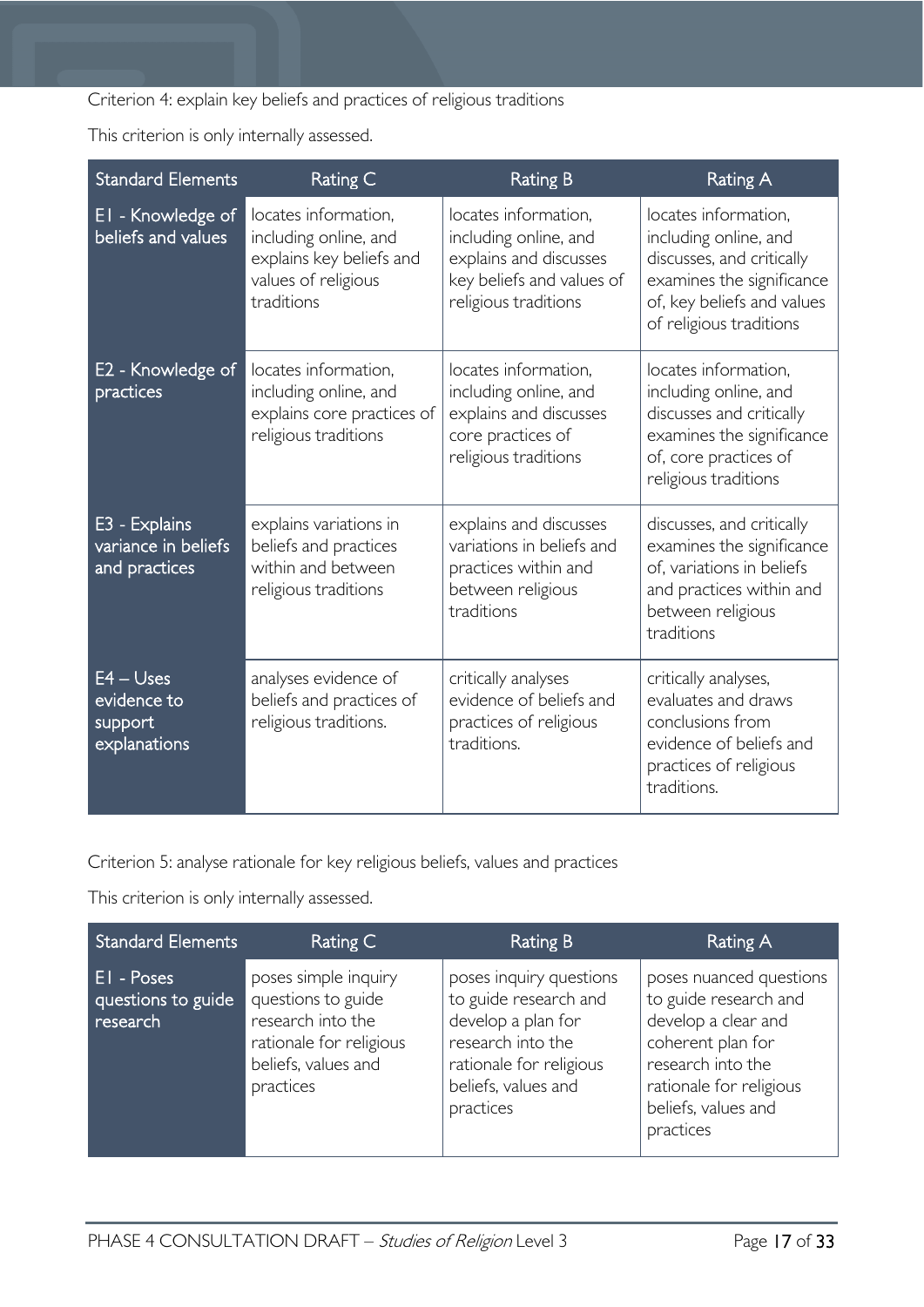Criterion 4: explain key beliefs and practices of religious traditions

This criterion is only internally assessed.

| <b>Standard Elements</b>                               | Rating C                                                                                                       | <b>Rating B</b>                                                                                                              | <b>Rating A</b>                                                                                                                                                  |
|--------------------------------------------------------|----------------------------------------------------------------------------------------------------------------|------------------------------------------------------------------------------------------------------------------------------|------------------------------------------------------------------------------------------------------------------------------------------------------------------|
| EI - Knowledge of<br>beliefs and values                | locates information,<br>including online, and<br>explains key beliefs and<br>values of religious<br>traditions | locates information,<br>including online, and<br>explains and discusses<br>key beliefs and values of<br>religious traditions | locates information,<br>including online, and<br>discusses, and critically<br>examines the significance<br>of, key beliefs and values<br>of religious traditions |
| E2 - Knowledge of<br>practices                         | locates information,<br>including online, and<br>explains core practices of<br>religious traditions            | locates information,<br>including online, and<br>explains and discusses<br>core practices of<br>religious traditions         | locates information,<br>including online, and<br>discusses and critically<br>examines the significance<br>of, core practices of<br>religious traditions          |
| E3 - Explains<br>variance in beliefs<br>and practices  | explains variations in<br>beliefs and practices<br>within and between<br>religious traditions                  | explains and discusses<br>variations in beliefs and<br>practices within and<br>between religious<br>traditions               | discusses, and critically<br>examines the significance<br>of, variations in beliefs<br>and practices within and<br>between religious<br>traditions               |
| $E4 - U$ ses<br>evidence to<br>support<br>explanations | analyses evidence of<br>beliefs and practices of<br>religious traditions.                                      | critically analyses<br>evidence of beliefs and<br>practices of religious<br>traditions.                                      | critically analyses,<br>evaluates and draws<br>conclusions from<br>evidence of beliefs and<br>practices of religious<br>traditions.                              |

Criterion 5: analyse rationale for key religious beliefs, values and practices

This criterion is only internally assessed.

| <b>Standard Elements</b>                            | Rating C                                                                                                                       | <b>Rating B</b>                                                                                                                                            | Rating A                                                                                                                                                                         |
|-----------------------------------------------------|--------------------------------------------------------------------------------------------------------------------------------|------------------------------------------------------------------------------------------------------------------------------------------------------------|----------------------------------------------------------------------------------------------------------------------------------------------------------------------------------|
| <b>EI</b> - Poses<br>questions to guide<br>research | poses simple inquiry<br>questions to guide<br>research into the<br>rationale for religious<br>beliefs, values and<br>practices | poses inquiry questions<br>to guide research and<br>develop a plan for<br>research into the<br>rationale for religious<br>beliefs, values and<br>practices | poses nuanced questions<br>to guide research and<br>develop a clear and<br>coherent plan for<br>research into the<br>rationale for religious<br>beliefs, values and<br>practices |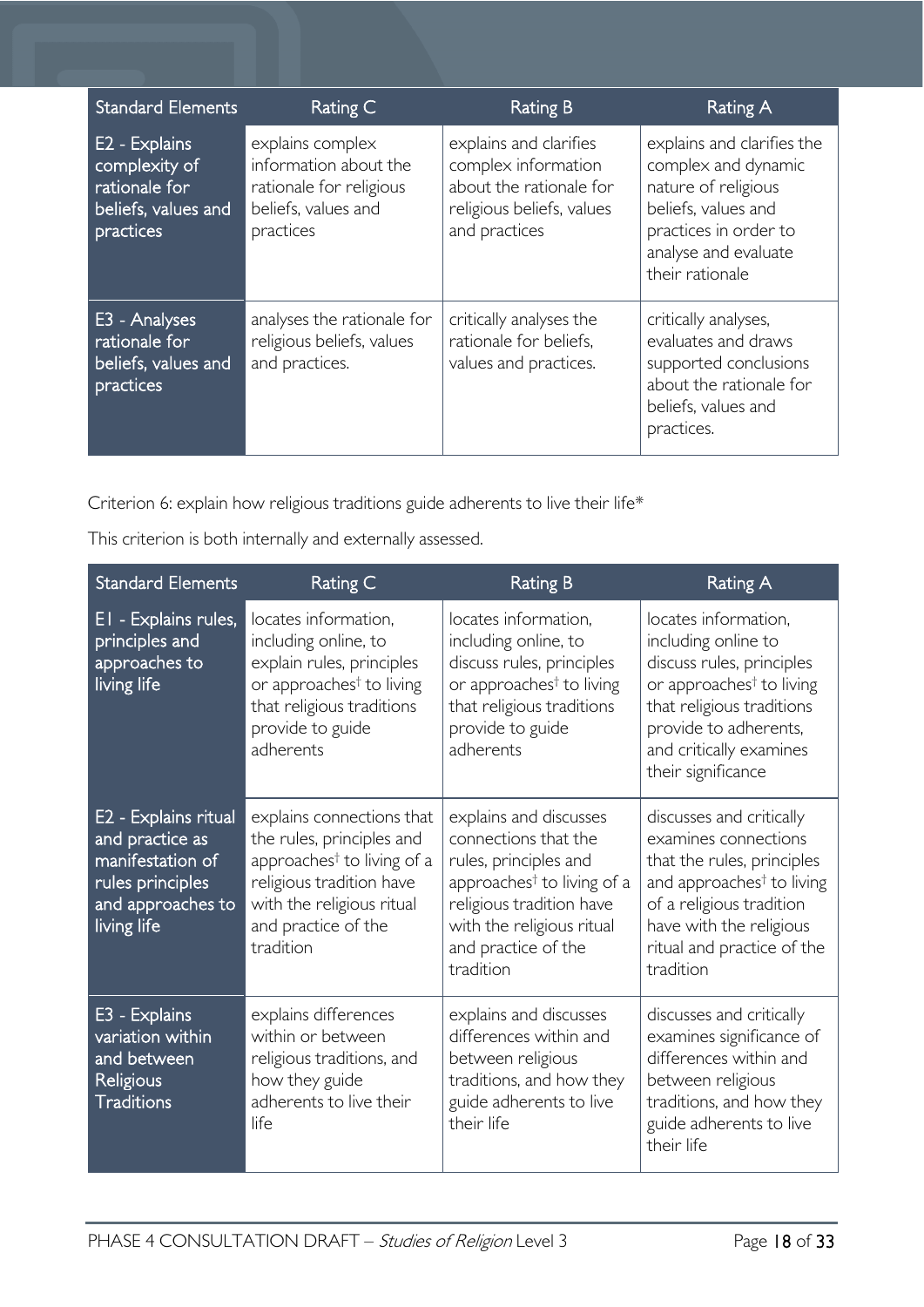| <b>Standard Elements</b>                                                            | Rating C                                                                                                 | <b>Rating B</b>                                                                                                        | <b>Rating A</b>                                                                                                                                                     |
|-------------------------------------------------------------------------------------|----------------------------------------------------------------------------------------------------------|------------------------------------------------------------------------------------------------------------------------|---------------------------------------------------------------------------------------------------------------------------------------------------------------------|
| E2 - Explains<br>complexity of<br>rationale for<br>beliefs, values and<br>practices | explains complex<br>information about the<br>rationale for religious<br>beliefs, values and<br>practices | explains and clarifies<br>complex information<br>about the rationale for<br>religious beliefs, values<br>and practices | explains and clarifies the<br>complex and dynamic<br>nature of religious<br>beliefs, values and<br>practices in order to<br>analyse and evaluate<br>their rationale |
| E3 - Analyses<br>rationale for<br>beliefs, values and<br>practices                  | analyses the rationale for<br>religious beliefs, values<br>and practices.                                | critically analyses the<br>rationale for beliefs,<br>values and practices.                                             | critically analyses,<br>evaluates and draws<br>supported conclusions<br>about the rationale for<br>beliefs, values and<br>practices.                                |

Criterion 6: explain how religious traditions guide adherents to live their life\*

This criterion is both internally and externally assessed.

| <b>Standard Elements</b>                                                                                            | Rating C                                                                                                                                                                                      | <b>Rating B</b>                                                                                                                                                                                                | <b>Rating A</b>                                                                                                                                                                                                           |
|---------------------------------------------------------------------------------------------------------------------|-----------------------------------------------------------------------------------------------------------------------------------------------------------------------------------------------|----------------------------------------------------------------------------------------------------------------------------------------------------------------------------------------------------------------|---------------------------------------------------------------------------------------------------------------------------------------------------------------------------------------------------------------------------|
| EI - Explains rules,<br>principles and<br>approaches to<br>living life                                              | locates information,<br>including online, to<br>explain rules, principles<br>or approaches <sup>†</sup> to living<br>that religious traditions<br>provide to guide<br>adherents               | locates information,<br>including online, to<br>discuss rules, principles<br>or approaches <sup>†</sup> to living<br>that religious traditions<br>provide to guide<br>adherents                                | locates information,<br>including online to<br>discuss rules, principles<br>or approaches <sup>†</sup> to living<br>that religious traditions<br>provide to adherents,<br>and critically examines<br>their significance   |
| E2 - Explains ritual<br>and practice as<br>manifestation of<br>rules principles<br>and approaches to<br>living life | explains connections that<br>the rules, principles and<br>approaches <sup>†</sup> to living of a<br>religious tradition have<br>with the religious ritual<br>and practice of the<br>tradition | explains and discusses<br>connections that the<br>rules, principles and<br>approaches <sup>†</sup> to living of a<br>religious tradition have<br>with the religious ritual<br>and practice of the<br>tradition | discusses and critically<br>examines connections<br>that the rules, principles<br>and approaches <sup>†</sup> to living<br>of a religious tradition<br>have with the religious<br>ritual and practice of the<br>tradition |
| E3 - Explains<br>variation within<br>and between<br>Religious<br><b>Traditions</b>                                  | explains differences<br>within or between<br>religious traditions, and<br>how they guide<br>adherents to live their<br>life                                                                   | explains and discusses<br>differences within and<br>between religious<br>traditions, and how they<br>guide adherents to live<br>their life                                                                     | discusses and critically<br>examines significance of<br>differences within and<br>between religious<br>traditions, and how they<br>guide adherents to live<br>their life                                                  |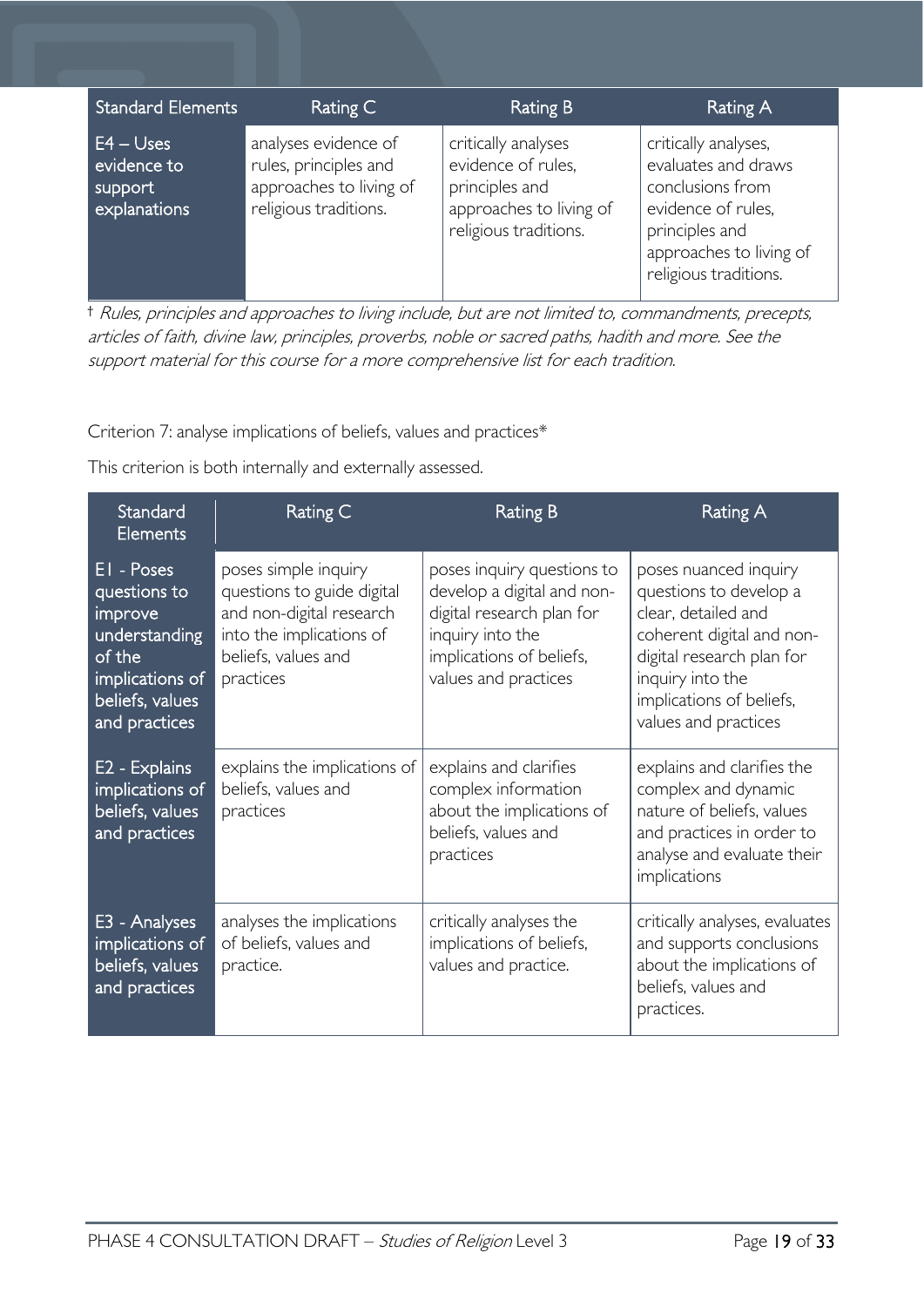| <b>Standard Elements</b>                              | Rating C                                                                                          | <b>Rating B</b>                                                                                                 | <b>Rating A</b>                                                                                                                                             |
|-------------------------------------------------------|---------------------------------------------------------------------------------------------------|-----------------------------------------------------------------------------------------------------------------|-------------------------------------------------------------------------------------------------------------------------------------------------------------|
| $E4 -$ Uses<br>evidence to<br>support<br>explanations | analyses evidence of<br>rules, principles and<br>approaches to living of<br>religious traditions. | critically analyses<br>evidence of rules,<br>principles and<br>approaches to living of<br>religious traditions. | critically analyses,<br>evaluates and draws<br>conclusions from<br>evidence of rules,<br>principles and<br>approaches to living of<br>religious traditions. |

† Rules, principles and approaches to living include, but are not limited to, commandments, precepts, articles of faith, divine law, principles, proverbs, noble or sacred paths, hadith and more. See the support material for this course for <sup>a</sup> more comprehensive list for each tradition.

Criterion 7: analyse implications of beliefs, values and practices\*

This criterion is both internally and externally assessed.

| Standard<br>Elements                                                                                                    | Rating C                                                                                                                                       | <b>Rating B</b>                                                                                                                                               | Rating A                                                                                                                                                                                                 |
|-------------------------------------------------------------------------------------------------------------------------|------------------------------------------------------------------------------------------------------------------------------------------------|---------------------------------------------------------------------------------------------------------------------------------------------------------------|----------------------------------------------------------------------------------------------------------------------------------------------------------------------------------------------------------|
| EI - Poses<br>questions to<br>improve<br>understanding<br>of the<br>implications of<br>beliefs, values<br>and practices | poses simple inquiry<br>questions to guide digital<br>and non-digital research<br>into the implications of<br>beliefs, values and<br>practices | poses inquiry questions to<br>develop a digital and non-<br>digital research plan for<br>inquiry into the<br>implications of beliefs,<br>values and practices | poses nuanced inquiry<br>questions to develop a<br>clear, detailed and<br>coherent digital and non-<br>digital research plan for<br>inquiry into the<br>implications of beliefs,<br>values and practices |
| E2 - Explains<br>implications of<br>beliefs, values<br>and practices                                                    | explains the implications of<br>beliefs, values and<br>practices                                                                               | explains and clarifies<br>complex information<br>about the implications of<br>beliefs, values and<br>practices                                                | explains and clarifies the<br>complex and dynamic<br>nature of beliefs, values<br>and practices in order to<br>analyse and evaluate their<br>implications                                                |
| E3 - Analyses<br>implications of<br>beliefs, values<br>and practices                                                    | analyses the implications<br>of beliefs, values and<br>practice.                                                                               | critically analyses the<br>implications of beliefs,<br>values and practice.                                                                                   | critically analyses, evaluates<br>and supports conclusions<br>about the implications of<br>beliefs, values and<br>practices.                                                                             |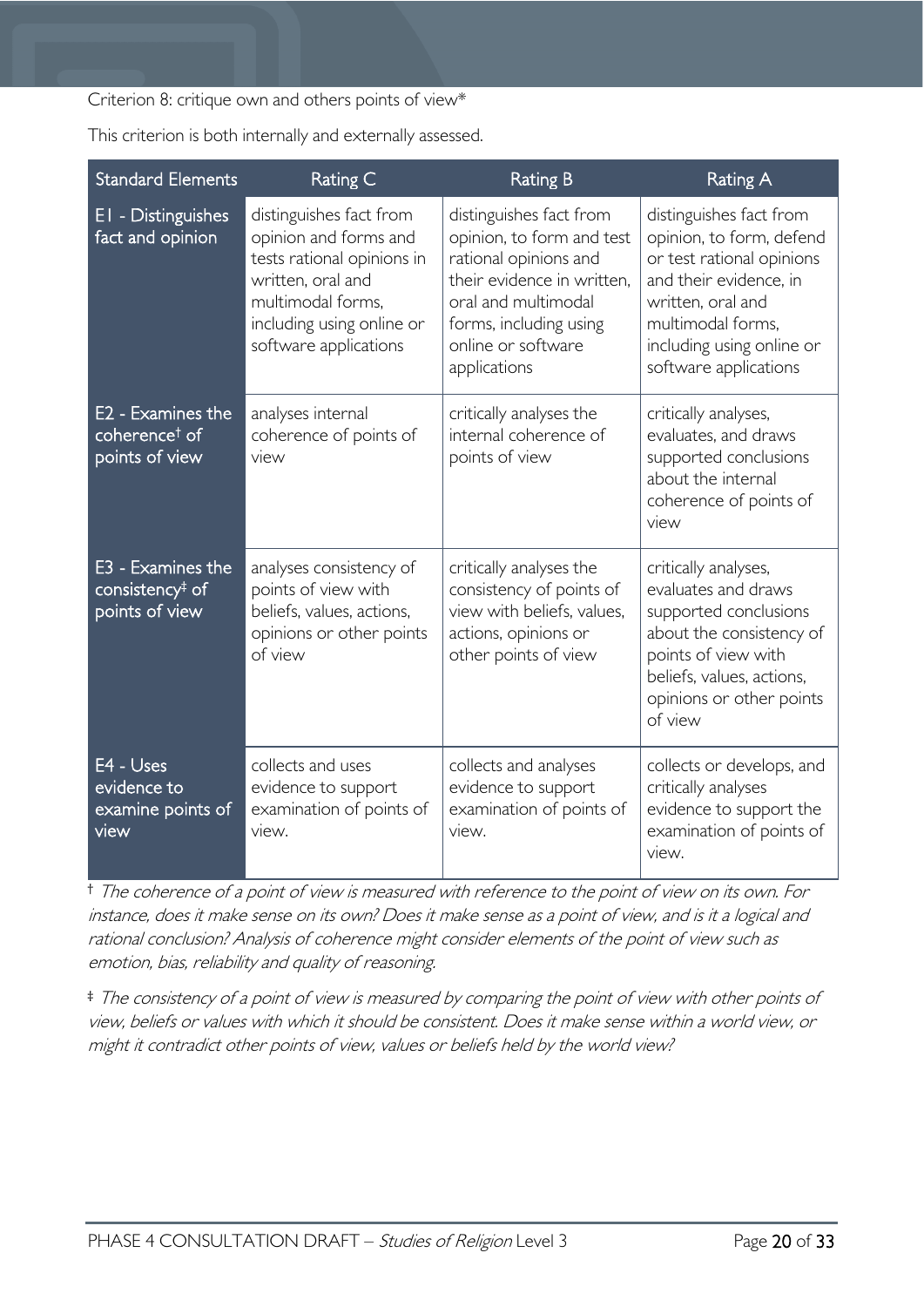#### Criterion 8: critique own and others points of view\*

|  |  |  | This criterion is both internally and externally assessed. |
|--|--|--|------------------------------------------------------------|
|  |  |  |                                                            |

| <b>Standard Elements</b>                                           | Rating C                                                                                                                                                                                                                                                | <b>Rating B</b>                                                                                                                                                                                    | <b>Rating A</b>                                                                                                                                                                                            |
|--------------------------------------------------------------------|---------------------------------------------------------------------------------------------------------------------------------------------------------------------------------------------------------------------------------------------------------|----------------------------------------------------------------------------------------------------------------------------------------------------------------------------------------------------|------------------------------------------------------------------------------------------------------------------------------------------------------------------------------------------------------------|
| EI - Distinguishes<br>fact and opinion                             | distinguishes fact from<br>opinion and forms and<br>tests rational opinions in<br>written, oral and<br>multimodal forms,<br>including using online or<br>software applications                                                                          | distinguishes fact from<br>opinion, to form and test<br>rational opinions and<br>their evidence in written.<br>oral and multimodal<br>forms, including using<br>online or software<br>applications | distinguishes fact from<br>opinion, to form, defend<br>or test rational opinions<br>and their evidence, in<br>written, oral and<br>multimodal forms,<br>including using online or<br>software applications |
| E2 - Examines the<br>coherence <sup>t</sup> of<br>points of view   | analyses internal<br>coherence of points of<br>view                                                                                                                                                                                                     | critically analyses the<br>internal coherence of<br>points of view                                                                                                                                 | critically analyses,<br>evaluates, and draws<br>supported conclusions<br>about the internal<br>coherence of points of<br>view                                                                              |
| E3 - Examines the<br>consistency <sup>‡</sup> of<br>points of view | analyses consistency of<br>critically analyses the<br>points of view with<br>consistency of points of<br>beliefs, values, actions,<br>view with beliefs, values,<br>opinions or other points<br>actions, opinions or<br>of view<br>other points of view |                                                                                                                                                                                                    | critically analyses,<br>evaluates and draws<br>supported conclusions<br>about the consistency of<br>points of view with<br>beliefs, values, actions,<br>opinions or other points<br>of view                |
| E4 - Uses<br>evidence to<br>examine points of<br>view              | collects and uses<br>evidence to support<br>examination of points of<br>view.                                                                                                                                                                           | collects and analyses<br>evidence to support<br>examination of points of<br>view.                                                                                                                  | collects or develops, and<br>critically analyses<br>evidence to support the<br>examination of points of<br>view.                                                                                           |

† The coherence of <sup>a</sup> point of view is measured with reference to the point of view on its own. For instance, does it make sense on its own? Does it make sense as <sup>a</sup> point of view, and is it <sup>a</sup> logical and rational conclusion? Analysis of coherence might consider elements of the point of view such as emotion, bias, reliability and quality of reasoning.

‡ The consistency of <sup>a</sup> point of view is measured by comparing the point of view with other points of view, beliefs or values with which it should be consistent. Does it make sense within <sup>a</sup> world view, or might it contradict other points of view, values or beliefs held by the world view?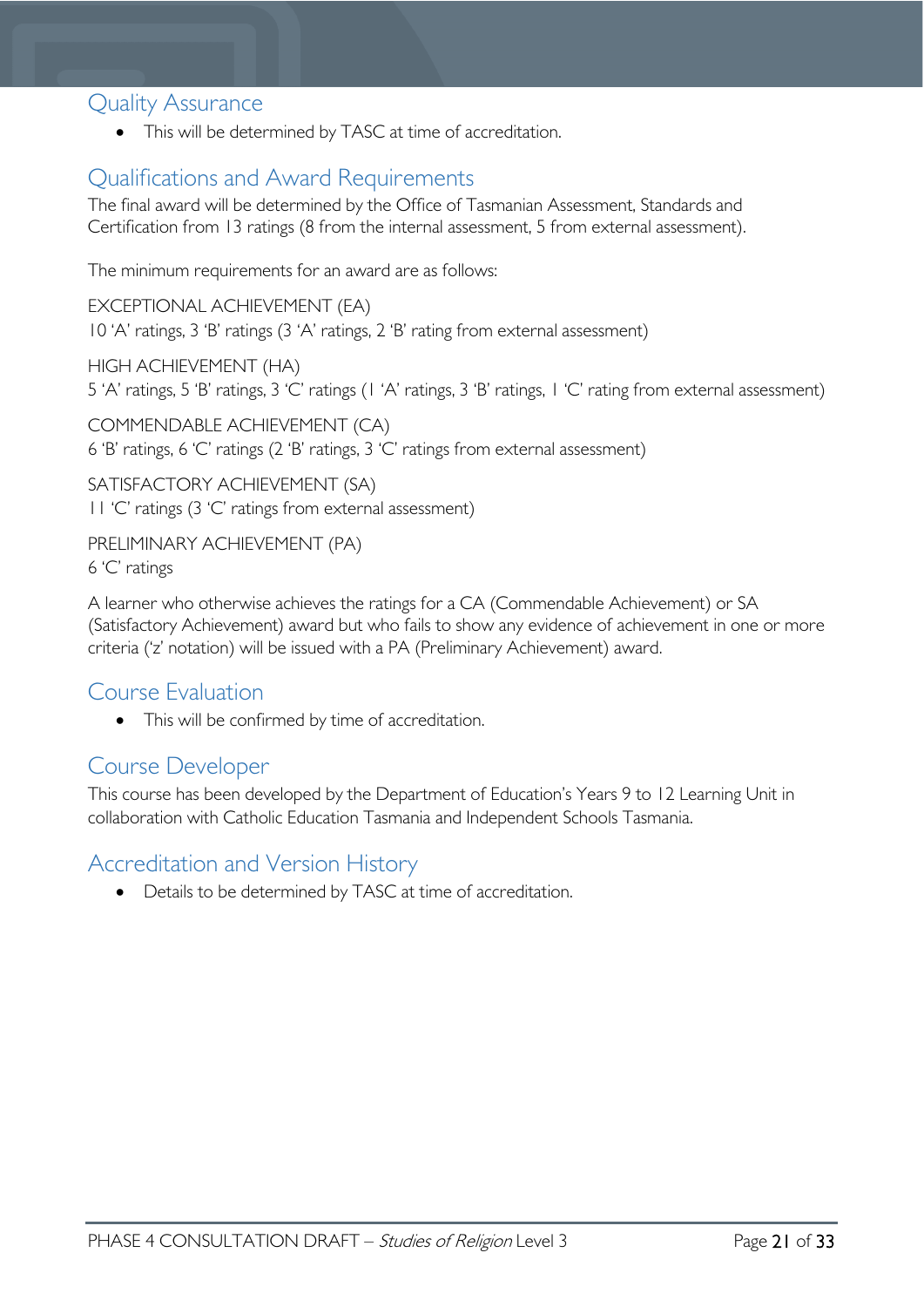# <span id="page-20-0"></span>Quality Assurance

• This will be determined by TASC at time of accreditation.

# <span id="page-20-1"></span>Qualifications and Award Requirements

The final award will be determined by the Office of Tasmanian Assessment, Standards and Certification from 13 ratings (8 from the internal assessment, 5 from external assessment).

The minimum requirements for an award are as follows:

EXCEPTIONAL ACHIEVEMENT (EA) 10 'A' ratings, 3 'B' ratings (3 'A' ratings, 2 'B' rating from external assessment)

HIGH ACHIEVEMENT (HA) 5 'A' ratings, 5 'B' ratings, 3 'C' ratings (1 'A' ratings, 3 'B' ratings, 1 'C' rating from external assessment)

COMMENDABLE ACHIEVEMENT (CA) 6 'B' ratings, 6 'C' ratings (2 'B' ratings, 3 'C' ratings from external assessment)

SATISFACTORY ACHIEVEMENT (SA) 11 'C' ratings (3 'C' ratings from external assessment)

PRELIMINARY ACHIEVEMENT (PA) 6 'C' ratings

A learner who otherwise achieves the ratings for a CA (Commendable Achievement) or SA (Satisfactory Achievement) award but who fails to show any evidence of achievement in one or more criteria ('z' notation) will be issued with a PA (Preliminary Achievement) award.

# <span id="page-20-2"></span>Course Evaluation

• This will be confirmed by time of accreditation.

# <span id="page-20-3"></span>Course Developer

This course has been developed by the Department of Education's Years 9 to 12 Learning Unit in collaboration with Catholic Education Tasmania and Independent Schools Tasmania.

# <span id="page-20-4"></span>Accreditation and Version History

• Details to be determined by TASC at time of accreditation.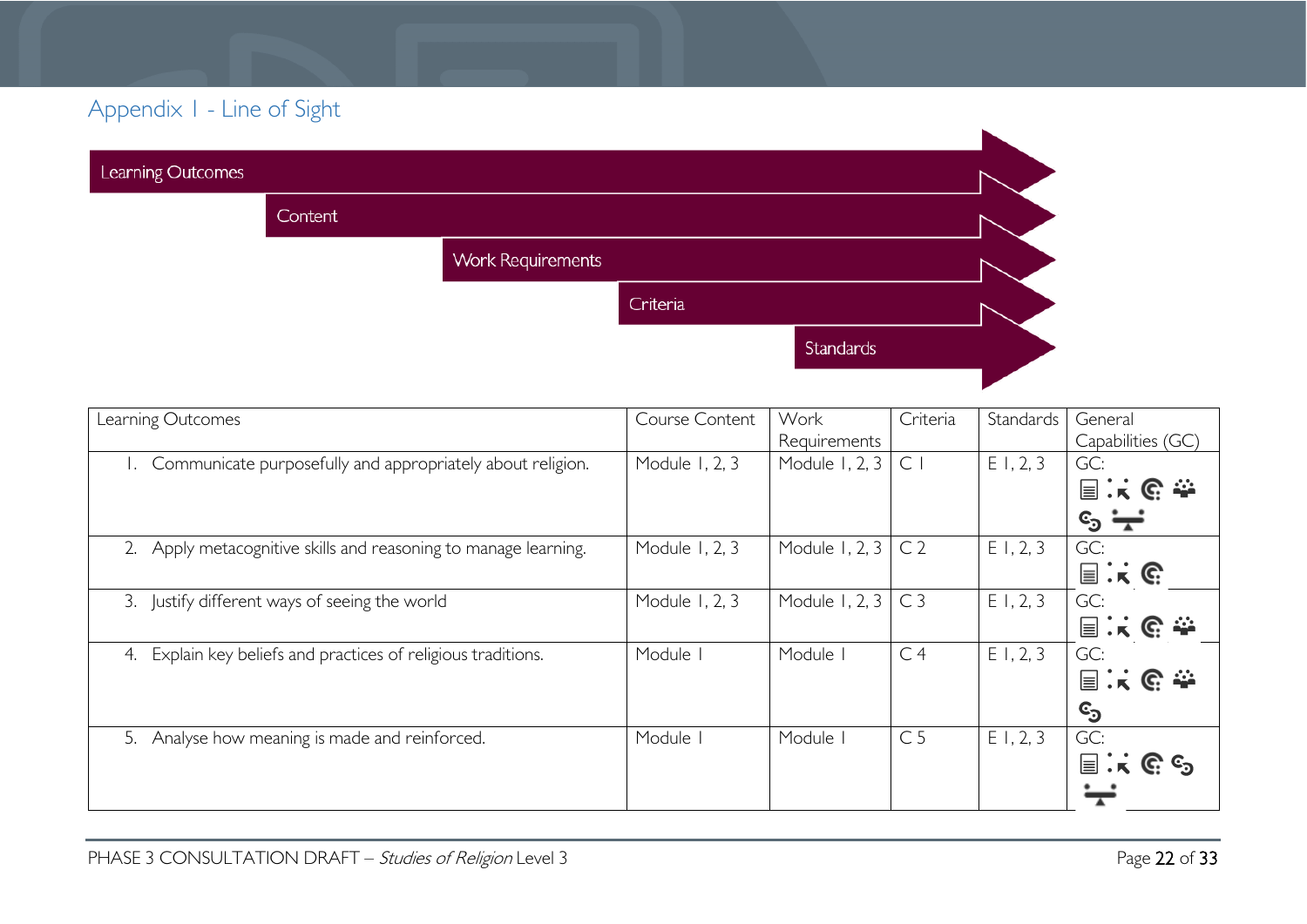# Appendix 1 - Line of Sight

| Learning Outcomes |         |                          |          |           |  |
|-------------------|---------|--------------------------|----------|-----------|--|
|                   | Content |                          |          |           |  |
|                   |         | <b>Work Requirements</b> |          |           |  |
|                   |         |                          | Criteria |           |  |
|                   |         |                          |          | Standards |  |
|                   |         |                          |          |           |  |

<span id="page-21-0"></span>

| Learning Outcomes                                                | Course Content | Work           | Criteria       | Standards | General                                   |
|------------------------------------------------------------------|----------------|----------------|----------------|-----------|-------------------------------------------|
|                                                                  |                | Requirements   |                |           | Capabilities (GC)                         |
| Communicate purposefully and appropriately about religion.       | Module 1, 2, 3 | Module 1, 2, 3 | $\subset$      | E1, 2, 3  | GC:                                       |
|                                                                  |                |                |                |           | 国民职委                                      |
|                                                                  |                |                |                |           | $\epsilon^2 =$                            |
| Apply metacognitive skills and reasoning to manage learning.     | Module 1, 2, 3 | Module 1, 2, 3 | C <sub>2</sub> | E1, 2, 3  | GC:                                       |
|                                                                  |                |                |                |           | $\equiv$ $\mathbf{k}$ $\in$               |
| 3. Justify different ways of seeing the world                    | Module 1, 2, 3 | Module 1, 2, 3 | C <sub>3</sub> | E1, 2, 3  | GC:                                       |
|                                                                  |                |                |                |           | 国民职委                                      |
| Explain key beliefs and practices of religious traditions.<br>4. | Module I       | Module I       | C <sub>4</sub> | E1, 2, 3  | GC:                                       |
|                                                                  |                |                |                |           | 国民职委                                      |
|                                                                  |                |                |                |           | ©ු                                        |
| Analyse how meaning is made and reinforced.<br>5.                | Module I       | Module I       | C <sub>5</sub> | E1, 2, 3  | GC:                                       |
|                                                                  |                |                |                |           | $\equiv$<br>$K \mathbb{C}$ $\mathbb{C}_2$ |
|                                                                  |                |                |                |           |                                           |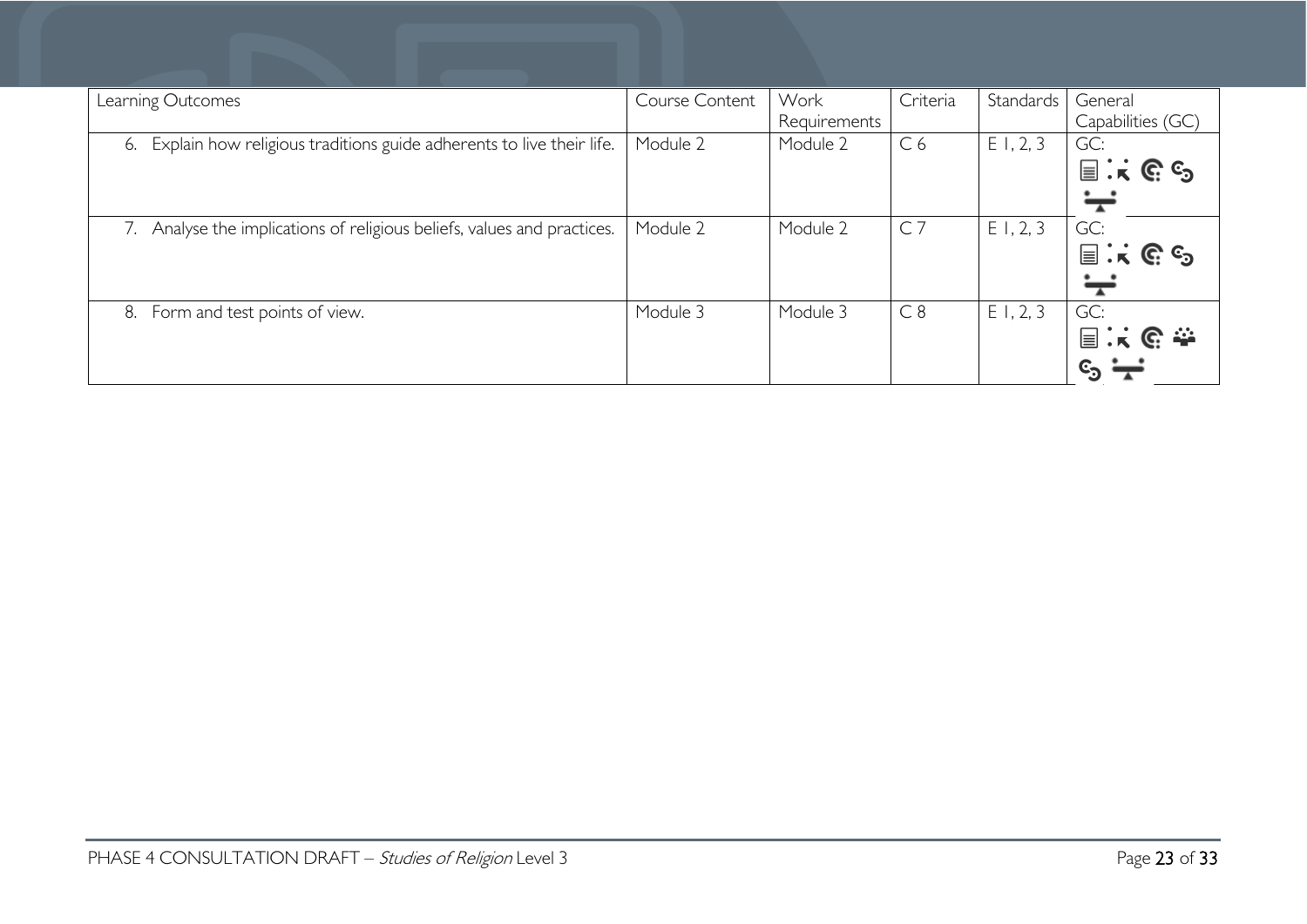| Learning Outcomes                                                          | Course Content | Work<br>Requirements | Criteria       | Standards | General<br>Capabilities (GC)                             |
|----------------------------------------------------------------------------|----------------|----------------------|----------------|-----------|----------------------------------------------------------|
| Explain how religious traditions guide adherents to live their life.<br>6. | Module 2       | Module 2             | C <sub>6</sub> | E1, 2, 3  | GC:<br>$\equiv$ $\mathbf{k} \in \mathbb{C}$ $\mathbb{C}$ |
| Analyse the implications of religious beliefs, values and practices.       | Module 2       | Module 2             | C <sub>7</sub> | E1, 2, 3  | GC:<br>$\equiv$ $\mathbf{k} \in \mathbb{C}$ $\mathbb{C}$ |
| Form and test points of view.<br>8.                                        | Module 3       | Module 3             | C8             | E1, 2, 3  | GC:<br>国兴色泰<br>$\epsilon_{\rm s}$ $\div$                 |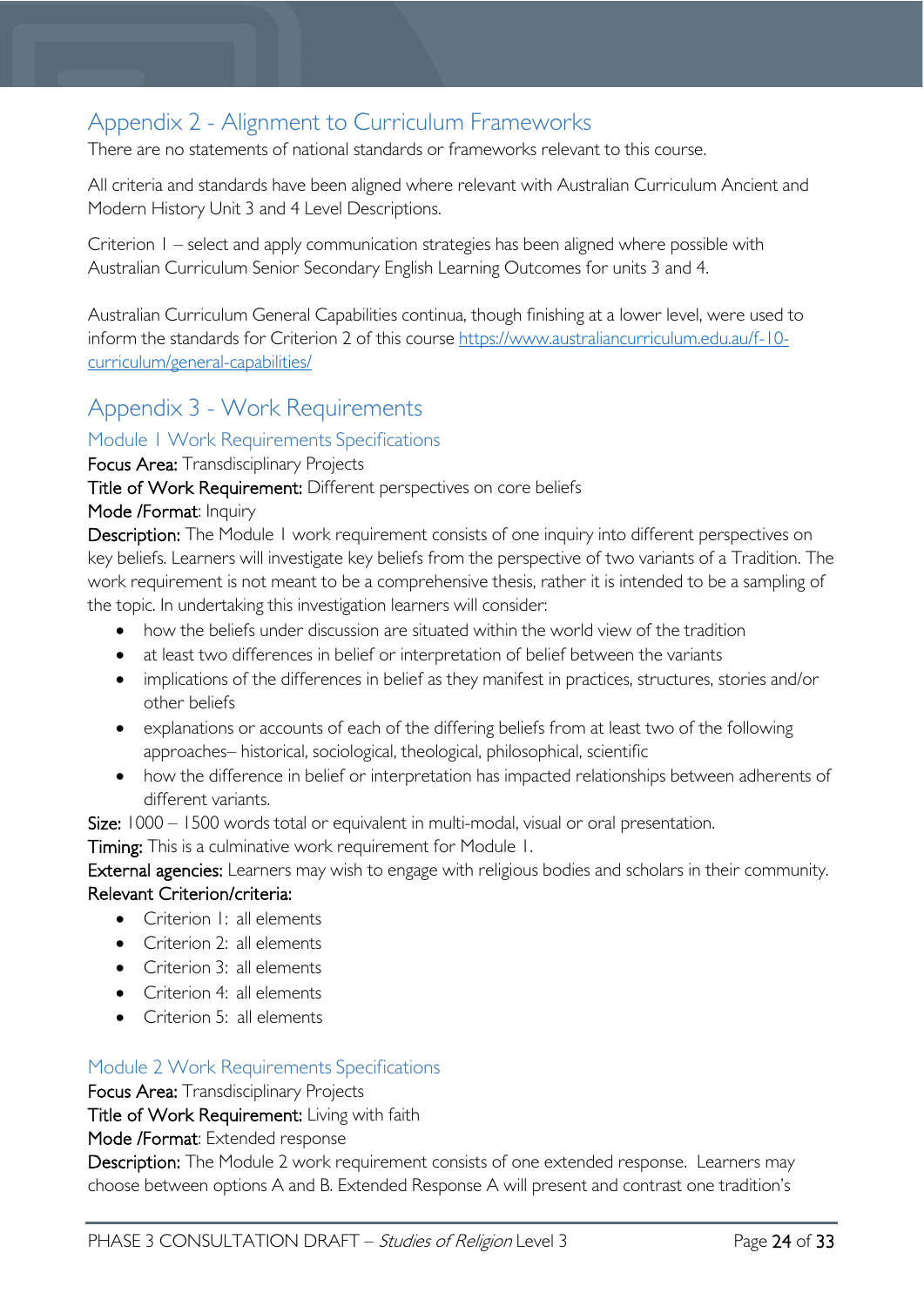# <span id="page-23-0"></span>Appendix 2 - Alignment to Curriculum Frameworks

There are no statements of national standards or frameworks relevant to this course.

All criteria and standards have been aligned where relevant with Australian Curriculum Ancient and Modern History Unit 3 and 4 Level Descriptions.

Criterion 1 – select and apply communication strategies has been aligned where possible with Australian Curriculum Senior Secondary English Learning Outcomes for units 3 and 4.

Australian Curriculum General Capabilities continua, though finishing at a lower level, were used to inform the standards for Criterion 2 of this course [https://www.australiancurriculum.edu.au/f-10](https://www.australiancurriculum.edu.au/f-10-curriculum/general-capabilities/) [curriculum/general-capabilities/](https://www.australiancurriculum.edu.au/f-10-curriculum/general-capabilities/) 

# <span id="page-23-1"></span>Appendix 3 - Work Requirements

### <span id="page-23-2"></span>Module 1 Work Requirements Specifications

Focus Area: Transdisciplinary Projects

Title of Work Requirement: Different perspectives on core beliefs

#### Mode /Format: Inquiry

Description: The Module 1 work requirement consists of one inquiry into different perspectives on key beliefs. Learners will investigate key beliefs from the perspective of two variants of a Tradition. The work requirement is not meant to be a comprehensive thesis, rather it is intended to be a sampling of the topic. In undertaking this investigation learners will consider:

- how the beliefs under discussion are situated within the world view of the tradition
- at least two differences in belief or interpretation of belief between the variants
- implications of the differences in belief as they manifest in practices, structures, stories and/or other beliefs
- explanations or accounts of each of the differing beliefs from at least two of the following approaches– historical, sociological, theological, philosophical, scientific
- how the difference in belief or interpretation has impacted relationships between adherents of different variants.

Size: 1000 – 1500 words total or equivalent in multi-modal, visual or oral presentation.

Timing: This is a culminative work requirement for Module 1.

External agencies: Learners may wish to engage with religious bodies and scholars in their community.

#### Relevant Criterion/criteria:

- Criterion 1: all elements
- Criterion 2: all elements
- Criterion 3: all elements
- Criterion 4: all elements
- Criterion 5: all elements

### <span id="page-23-3"></span>Module 2 Work Requirements Specifications

Focus Area: Transdisciplinary Projects

Title of Work Requirement: Living with faith

Mode /Format: Extended response

Description: The Module 2 work requirement consists of one extended response. Learners may choose between options A and B. Extended Response A will present and contrast one tradition's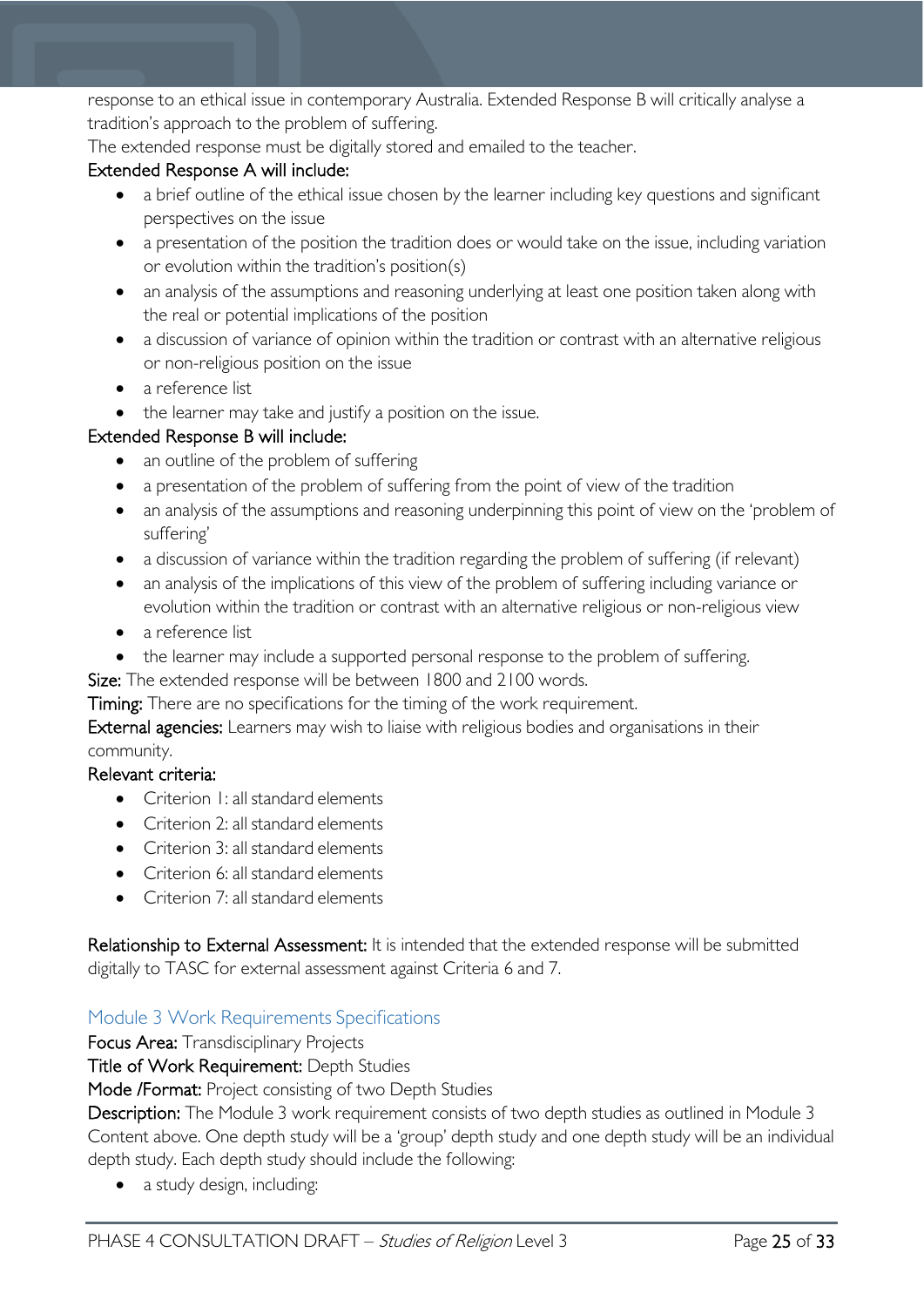response to an ethical issue in contemporary Australia. Extended Response B will critically analyse a tradition's approach to the problem of suffering.

The extended response must be digitally stored and emailed to the teacher.

#### Extended Response A will include:

- a brief outline of the ethical issue chosen by the learner including key questions and significant perspectives on the issue
- a presentation of the position the tradition does or would take on the issue, including variation or evolution within the tradition's position(s)
- an analysis of the assumptions and reasoning underlying at least one position taken along with the real or potential implications of the position
- a discussion of variance of opinion within the tradition or contrast with an alternative religious or non-religious position on the issue
- a reference list
- the learner may take and justify a position on the issue.

#### Extended Response B will include:

- an outline of the problem of suffering
- a presentation of the problem of suffering from the point of view of the tradition
- an analysis of the assumptions and reasoning underpinning this point of view on the 'problem of suffering'
- a discussion of variance within the tradition regarding the problem of suffering (if relevant)
- an analysis of the implications of this view of the problem of suffering including variance or evolution within the tradition or contrast with an alternative religious or non-religious view
- a reference list
- the learner may include a supported personal response to the problem of suffering.

Size: The extended response will be between 1800 and 2100 words.

Timing: There are no specifications for the timing of the work requirement.

External agencies: Learners may wish to liaise with religious bodies and organisations in their community.

#### Relevant criteria:

- Criterion I: all standard elements
- Criterion 2: all standard elements
- Criterion 3: all standard elements
- Criterion 6: all standard elements
- Criterion 7: all standard elements

Relationship to External Assessment: It is intended that the extended response will be submitted digitally to TASC for external assessment against Criteria 6 and 7.

### <span id="page-24-0"></span>Module 3 Work Requirements Specifications

Focus Area: Transdisciplinary Projects

Title of Work Requirement: Depth Studies

Mode /Format: Project consisting of two Depth Studies

Description: The Module 3 work requirement consists of two depth studies as outlined in Module 3 Content above. One depth study will be a 'group' depth study and one depth study will be an individual depth study. Each depth study should include the following:

• a study design, including: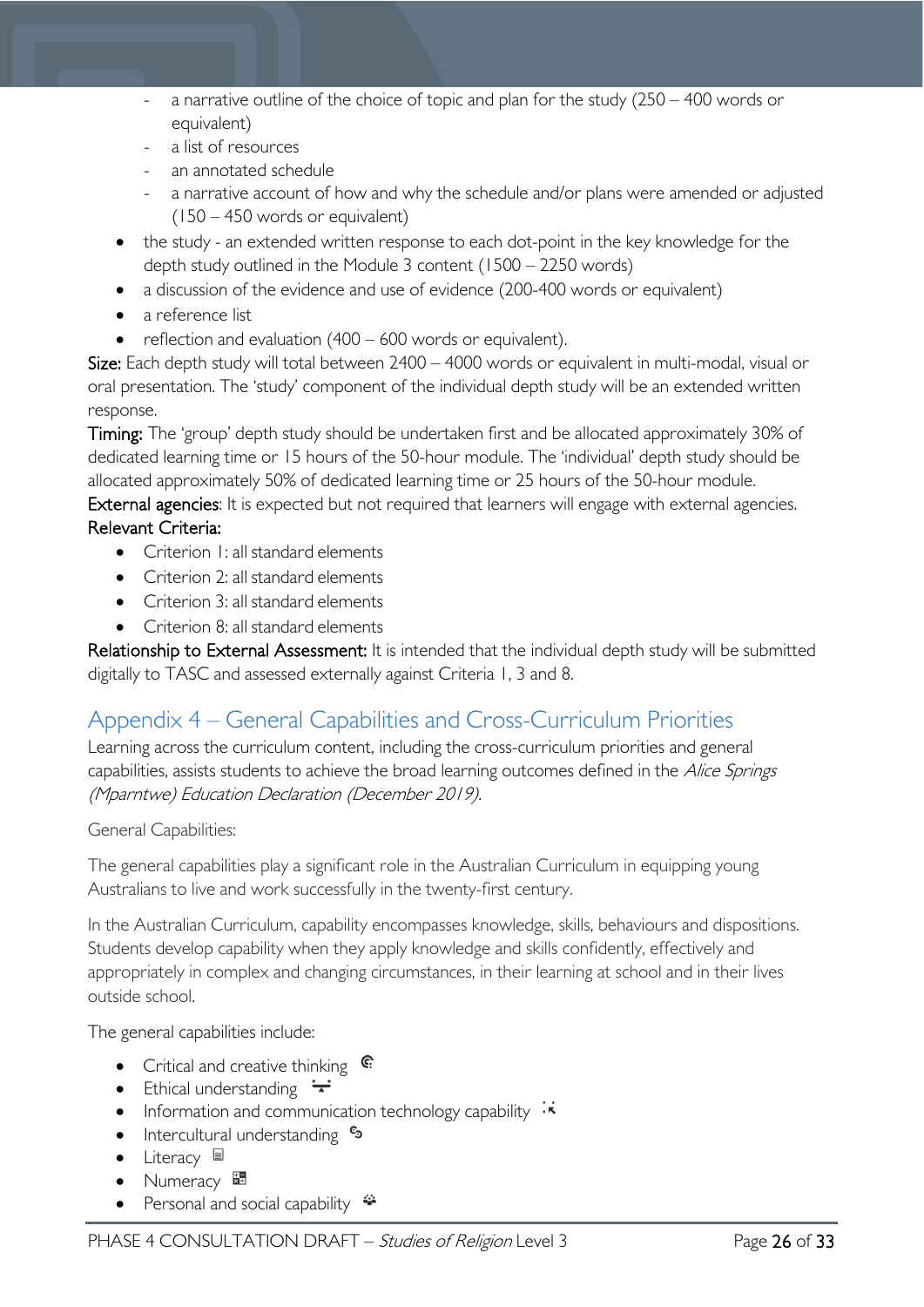- a narrative outline of the choice of topic and plan for the study  $(250 400$  words or equivalent)
- a list of resources
- an annotated schedule
- a narrative account of how and why the schedule and/or plans were amended or adjusted (150 – 450 words or equivalent)
- the study an extended written response to each dot-point in the key knowledge for the depth study outlined in the Module 3 content (1500 – 2250 words)
- a discussion of the evidence and use of evidence (200-400 words or equivalent)
- a reference list
- reflection and evaluation (400 600 words or equivalent).

Size: Each depth study will total between 2400 – 4000 words or equivalent in multi-modal, visual or oral presentation. The 'study' component of the individual depth study will be an extended written response.

Timing: The 'group' depth study should be undertaken first and be allocated approximately 30% of dedicated learning time or 15 hours of the 50-hour module. The 'individual' depth study should be allocated approximately 50% of dedicated learning time or 25 hours of the 50-hour module.

External agencies: It is expected but not required that learners will engage with external agencies. Relevant Criteria:

- Criterion 1: all standard elements
- Criterion 2: all standard elements
- Criterion 3: all standard elements
- Criterion 8: all standard elements

Relationship to External Assessment: It is intended that the individual depth study will be submitted digitally to TASC and assessed externally against Criteria 1, 3 and 8.

# <span id="page-25-0"></span>Appendix 4 – General Capabilities and Cross-Curriculum Priorities

Learning across the curriculum content, including the cross-curriculum priorities and general capabilities, assists students to achieve the broad learning outcomes defined in the Alice Springs (Mparntwe) Education Declaration (December 2019).

#### General Capabilities:

The general capabilities play a significant role in the Australian Curriculum in equipping young Australians to live and work successfully in the twenty-first century.

In the Australian Curriculum, capability encompasses knowledge, skills, behaviours and dispositions. Students develop capability when they apply knowledge and skills confidently, effectively and appropriately in complex and changing circumstances, in their learning at school and in their lives outside school.

The general capabilities include:

- Critical and creative thinking  $\mathbb{C}$
- Ethical understanding  $\div$
- Information and communication technology capability  $\cdot$
- Intercultural understanding •
- Literacy  $\blacksquare$
- Numeracy
- Personal and social capability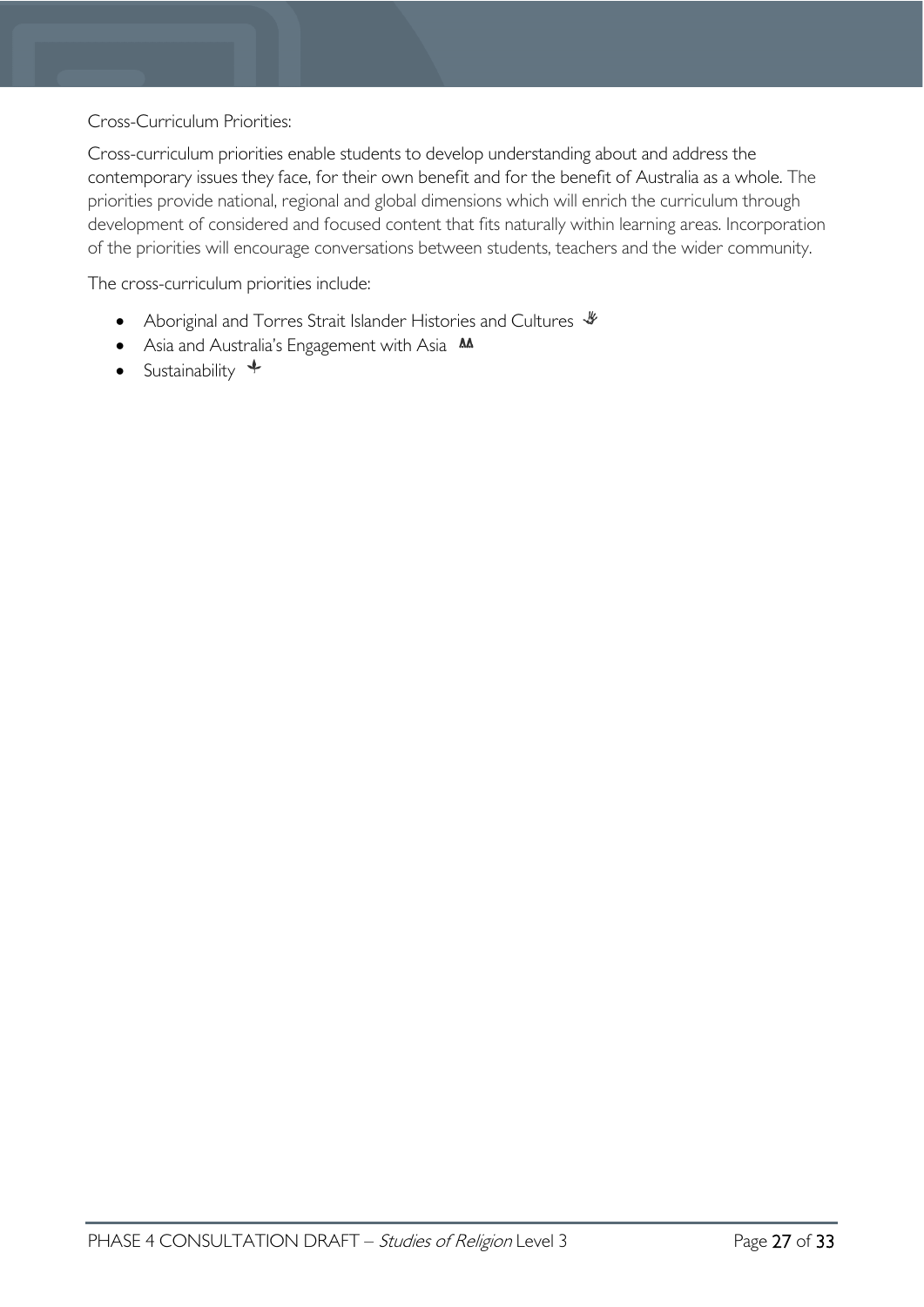#### Cross-Curriculum Priorities:

Cross-curriculum priorities enable students to develop understanding about and address the contemporary issues they face, for their own benefit and for the benefit of Australia as a whole. The priorities provide national, regional and global dimensions which will enrich the curriculum through development of considered and focused content that fits naturally within learning areas. Incorporation of the priorities will encourage conversations between students, teachers and the wider community.

The cross-curriculum priorities include:

- Aboriginal and Torres Strait Islander Histories and Cultures  $\mathscr W$
- Asia and Australia's Engagement with Asia **M**
- Sustainability  $\triangleq$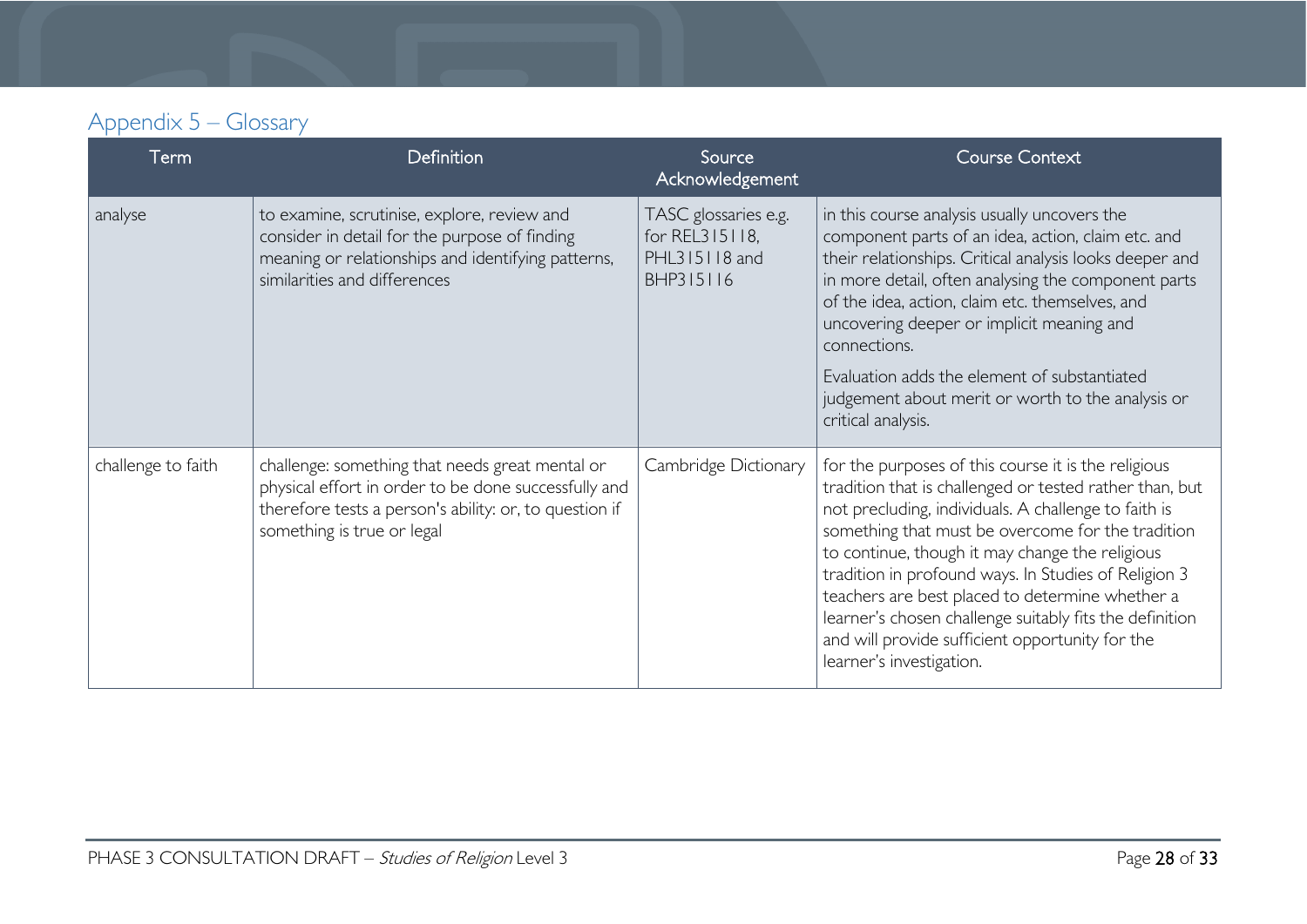# Appendix 5 – Glossary

<span id="page-27-0"></span>

| Term               | Definition                                                                                                                                                                                      | Source<br>Acknowledgement                                            | <b>Course Context</b>                                                                                                                                                                                                                                                                                                                                                                                                                                                                                                               |
|--------------------|-------------------------------------------------------------------------------------------------------------------------------------------------------------------------------------------------|----------------------------------------------------------------------|-------------------------------------------------------------------------------------------------------------------------------------------------------------------------------------------------------------------------------------------------------------------------------------------------------------------------------------------------------------------------------------------------------------------------------------------------------------------------------------------------------------------------------------|
| analyse            | to examine, scrutinise, explore, review and<br>consider in detail for the purpose of finding<br>meaning or relationships and identifying patterns,<br>similarities and differences              | TASC glossaries e.g.<br>for REL315118,<br>PHL315118 and<br>BHP315116 | in this course analysis usually uncovers the<br>component parts of an idea, action, claim etc. and<br>their relationships. Critical analysis looks deeper and<br>in more detail, often analysing the component parts<br>of the idea, action, claim etc. themselves, and<br>uncovering deeper or implicit meaning and<br>connections.<br>Evaluation adds the element of substantiated<br>judgement about merit or worth to the analysis or<br>critical analysis.                                                                     |
| challenge to faith | challenge: something that needs great mental or<br>physical effort in order to be done successfully and<br>therefore tests a person's ability: or, to question if<br>something is true or legal | Cambridge Dictionary                                                 | for the purposes of this course it is the religious<br>tradition that is challenged or tested rather than, but<br>not precluding, individuals. A challenge to faith is<br>something that must be overcome for the tradition<br>to continue, though it may change the religious<br>tradition in profound ways. In Studies of Religion 3<br>teachers are best placed to determine whether a<br>learner's chosen challenge suitably fits the definition<br>and will provide sufficient opportunity for the<br>learner's investigation. |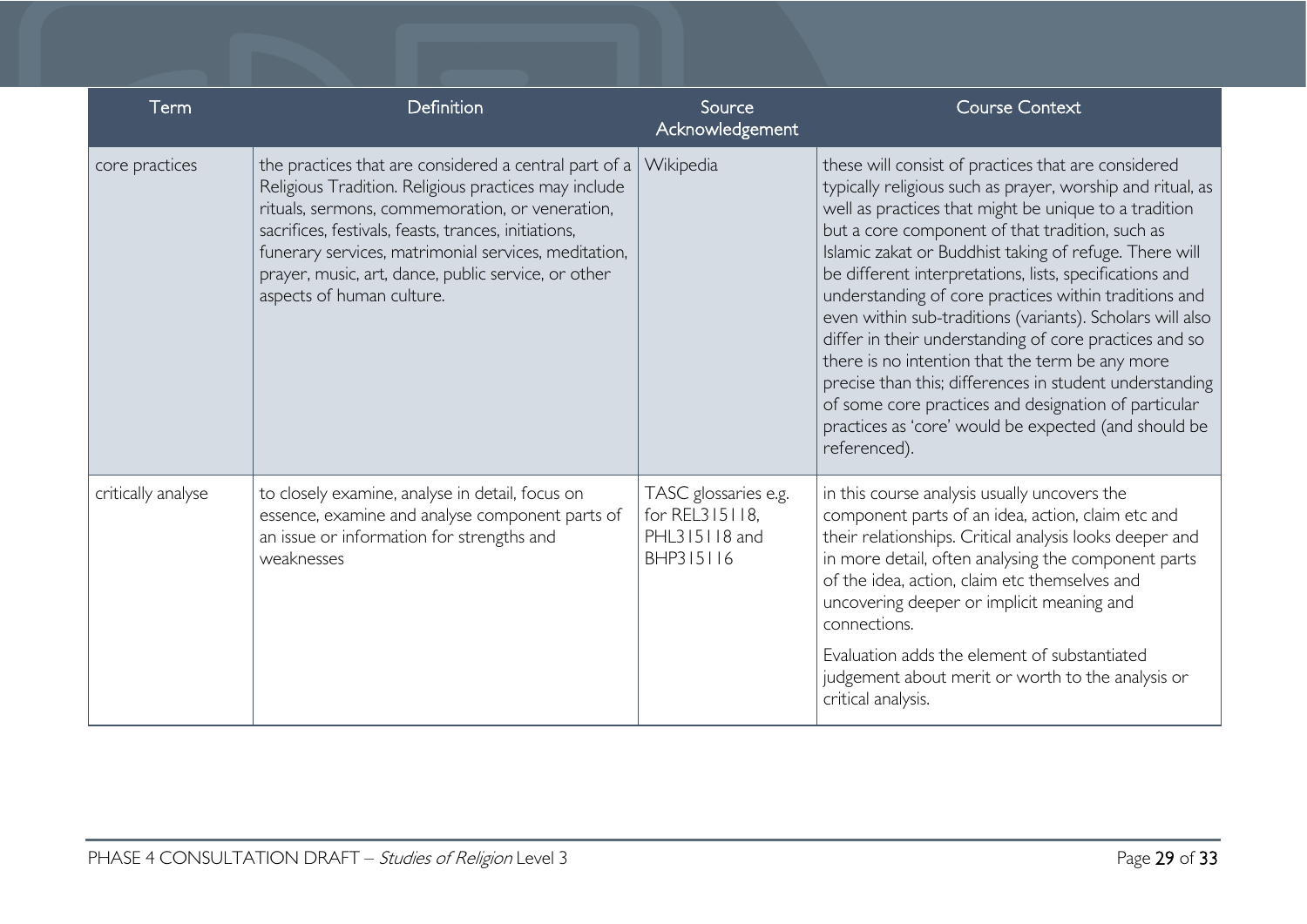| Term               | Definition                                                                                                                                                                                                                                                                                                                                                           | Source<br>Acknowledgement                                            | <b>Course Context</b>                                                                                                                                                                                                                                                                                                                                                                                                                                                                                                                                                                                                                                                                                                                                                            |
|--------------------|----------------------------------------------------------------------------------------------------------------------------------------------------------------------------------------------------------------------------------------------------------------------------------------------------------------------------------------------------------------------|----------------------------------------------------------------------|----------------------------------------------------------------------------------------------------------------------------------------------------------------------------------------------------------------------------------------------------------------------------------------------------------------------------------------------------------------------------------------------------------------------------------------------------------------------------------------------------------------------------------------------------------------------------------------------------------------------------------------------------------------------------------------------------------------------------------------------------------------------------------|
| core practices     | the practices that are considered a central part of a<br>Religious Tradition. Religious practices may include<br>rituals, sermons, commemoration, or veneration,<br>sacrifices, festivals, feasts, trances, initiations,<br>funerary services, matrimonial services, meditation,<br>prayer, music, art, dance, public service, or other<br>aspects of human culture. | Wikipedia                                                            | these will consist of practices that are considered<br>typically religious such as prayer, worship and ritual, as<br>well as practices that might be unique to a tradition<br>but a core component of that tradition, such as<br>Islamic zakat or Buddhist taking of refuge. There will<br>be different interpretations, lists, specifications and<br>understanding of core practices within traditions and<br>even within sub-traditions (variants). Scholars will also<br>differ in their understanding of core practices and so<br>there is no intention that the term be any more<br>precise than this; differences in student understanding<br>of some core practices and designation of particular<br>practices as 'core' would be expected (and should be<br>referenced). |
| critically analyse | to closely examine, analyse in detail, focus on<br>essence, examine and analyse component parts of<br>an issue or information for strengths and<br>weaknesses                                                                                                                                                                                                        | TASC glossaries e.g.<br>for REL315118,<br>PHL315118 and<br>BHP315116 | in this course analysis usually uncovers the<br>component parts of an idea, action, claim etc and<br>their relationships. Critical analysis looks deeper and<br>in more detail, often analysing the component parts<br>of the idea, action, claim etc themselves and<br>uncovering deeper or implicit meaning and<br>connections.<br>Evaluation adds the element of substantiated<br>judgement about merit or worth to the analysis or<br>critical analysis.                                                                                                                                                                                                                                                                                                                     |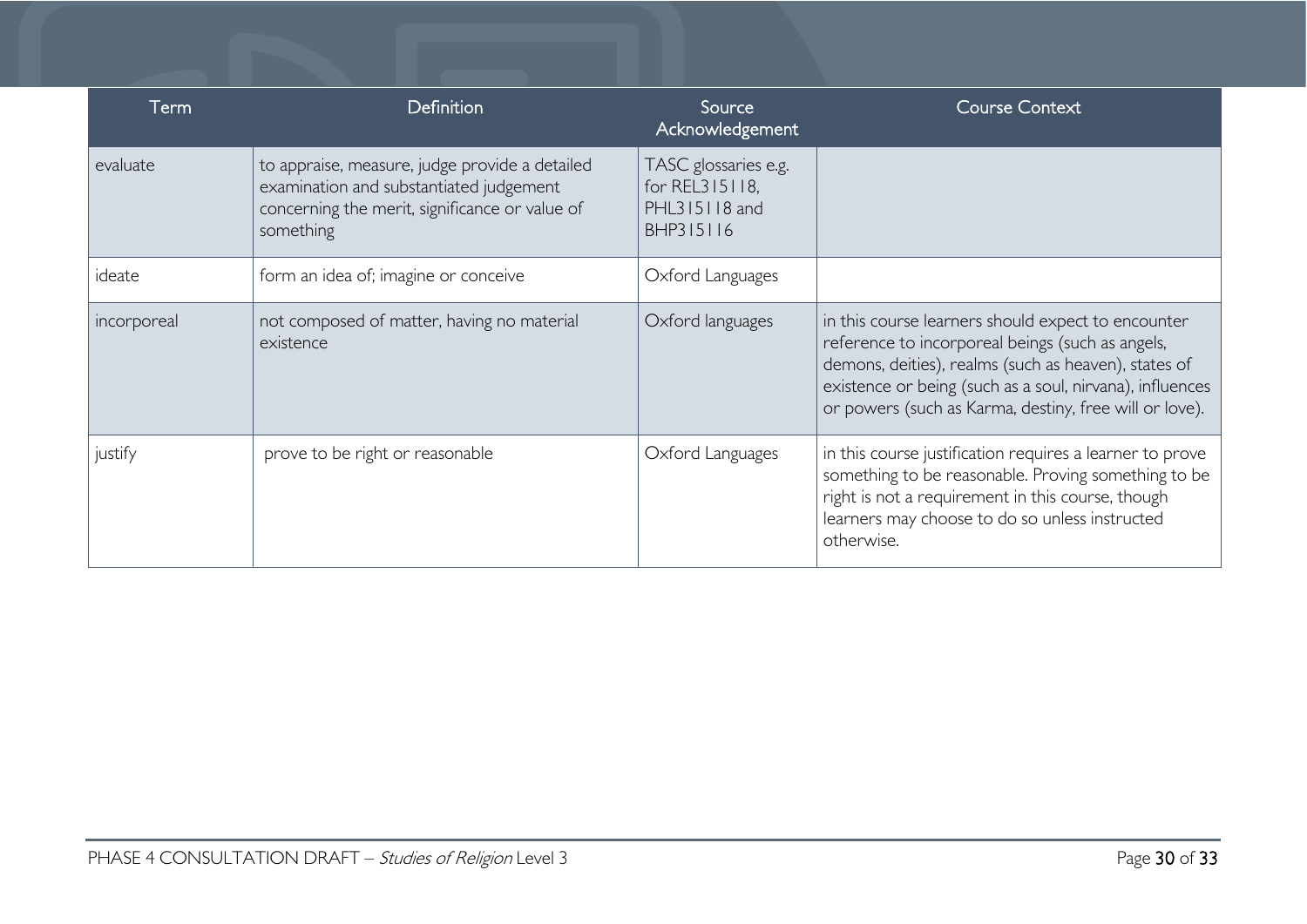| Term        | <b>Definition</b>                                                                                                                                        | Source<br>Acknowledgement                                            | <b>Course Context</b>                                                                                                                                                                                                                                                                |
|-------------|----------------------------------------------------------------------------------------------------------------------------------------------------------|----------------------------------------------------------------------|--------------------------------------------------------------------------------------------------------------------------------------------------------------------------------------------------------------------------------------------------------------------------------------|
| evaluate    | to appraise, measure, judge provide a detailed<br>examination and substantiated judgement<br>concerning the merit, significance or value of<br>something | TASC glossaries e.g.<br>for REL315118,<br>PHL315118 and<br>BHP315116 |                                                                                                                                                                                                                                                                                      |
| ideate      | form an idea of; imagine or conceive                                                                                                                     | Oxford Languages                                                     |                                                                                                                                                                                                                                                                                      |
| incorporeal | not composed of matter, having no material<br>existence                                                                                                  | Oxford languages                                                     | in this course learners should expect to encounter<br>reference to incorporeal beings (such as angels,<br>demons, deities), realms (such as heaven), states of<br>existence or being (such as a soul, nirvana), influences<br>or powers (such as Karma, destiny, free will or love). |
| justify     | prove to be right or reasonable                                                                                                                          | Oxford Languages                                                     | in this course justification requires a learner to prove<br>something to be reasonable. Proving something to be<br>right is not a requirement in this course, though<br>learners may choose to do so unless instructed<br>otherwise.                                                 |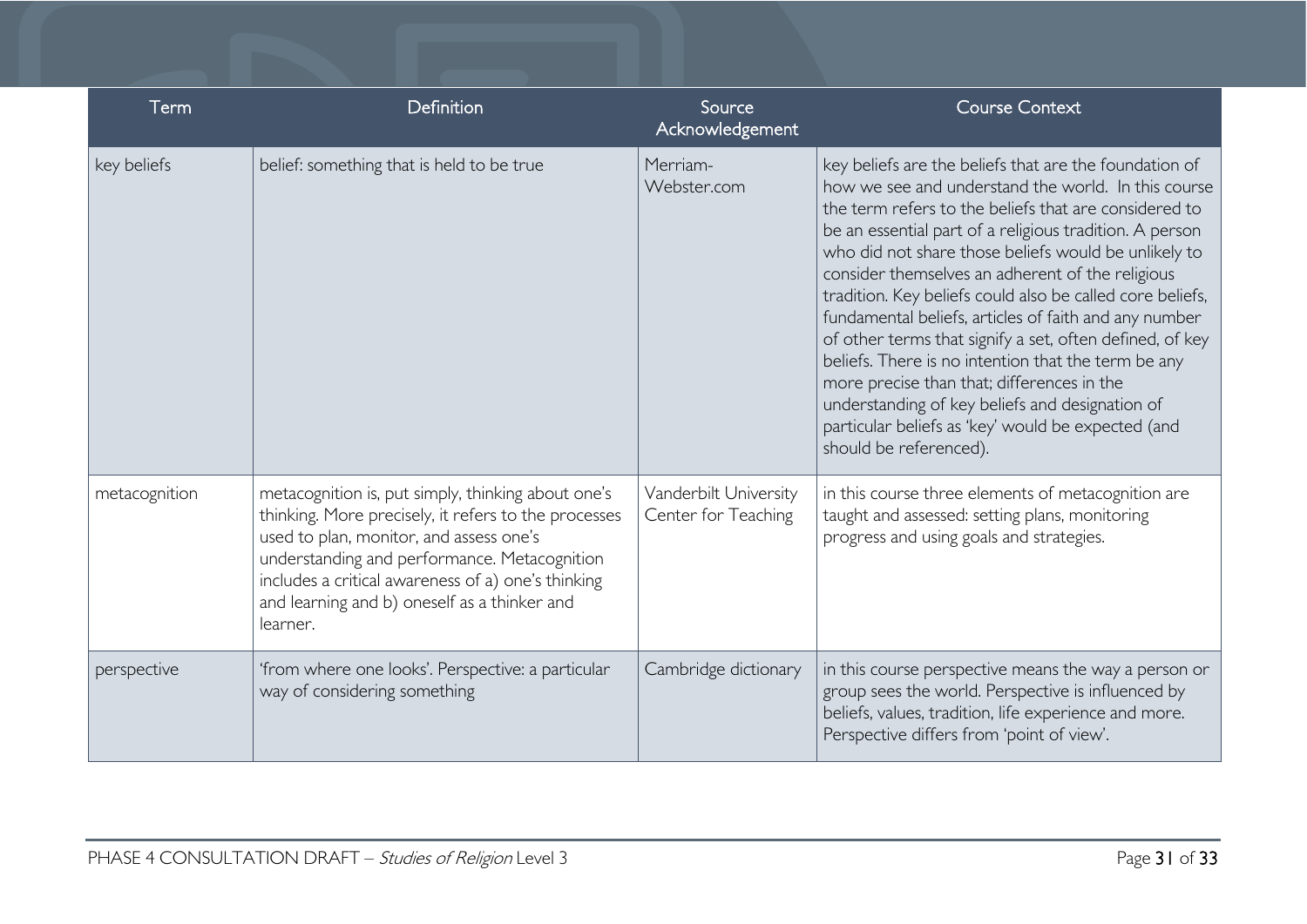| Term          | Definition                                                                                                                                                                                                                                                                                                              | Source<br>Acknowledgement                    | <b>Course Context</b>                                                                                                                                                                                                                                                                                                                                                                                                                                                                                                                                                                                                                                                                                                                                                   |
|---------------|-------------------------------------------------------------------------------------------------------------------------------------------------------------------------------------------------------------------------------------------------------------------------------------------------------------------------|----------------------------------------------|-------------------------------------------------------------------------------------------------------------------------------------------------------------------------------------------------------------------------------------------------------------------------------------------------------------------------------------------------------------------------------------------------------------------------------------------------------------------------------------------------------------------------------------------------------------------------------------------------------------------------------------------------------------------------------------------------------------------------------------------------------------------------|
| key beliefs   | belief: something that is held to be true                                                                                                                                                                                                                                                                               | Merriam-<br>Webster.com                      | key beliefs are the beliefs that are the foundation of<br>how we see and understand the world. In this course<br>the term refers to the beliefs that are considered to<br>be an essential part of a religious tradition. A person<br>who did not share those beliefs would be unlikely to<br>consider themselves an adherent of the religious<br>tradition. Key beliefs could also be called core beliefs,<br>fundamental beliefs, articles of faith and any number<br>of other terms that signify a set, often defined, of key<br>beliefs. There is no intention that the term be any<br>more precise than that; differences in the<br>understanding of key beliefs and designation of<br>particular beliefs as 'key' would be expected (and<br>should be referenced). |
| metacognition | metacognition is, put simply, thinking about one's<br>thinking. More precisely, it refers to the processes<br>used to plan, monitor, and assess one's<br>understanding and performance. Metacognition<br>includes a critical awareness of a) one's thinking<br>and learning and b) oneself as a thinker and<br>learner. | Vanderbilt University<br>Center for Teaching | in this course three elements of metacognition are<br>taught and assessed: setting plans, monitoring<br>progress and using goals and strategies.                                                                                                                                                                                                                                                                                                                                                                                                                                                                                                                                                                                                                        |
| perspective   | 'from where one looks'. Perspective: a particular<br>way of considering something                                                                                                                                                                                                                                       | Cambridge dictionary                         | in this course perspective means the way a person or<br>group sees the world. Perspective is influenced by<br>beliefs, values, tradition, life experience and more.<br>Perspective differs from 'point of view'.                                                                                                                                                                                                                                                                                                                                                                                                                                                                                                                                                        |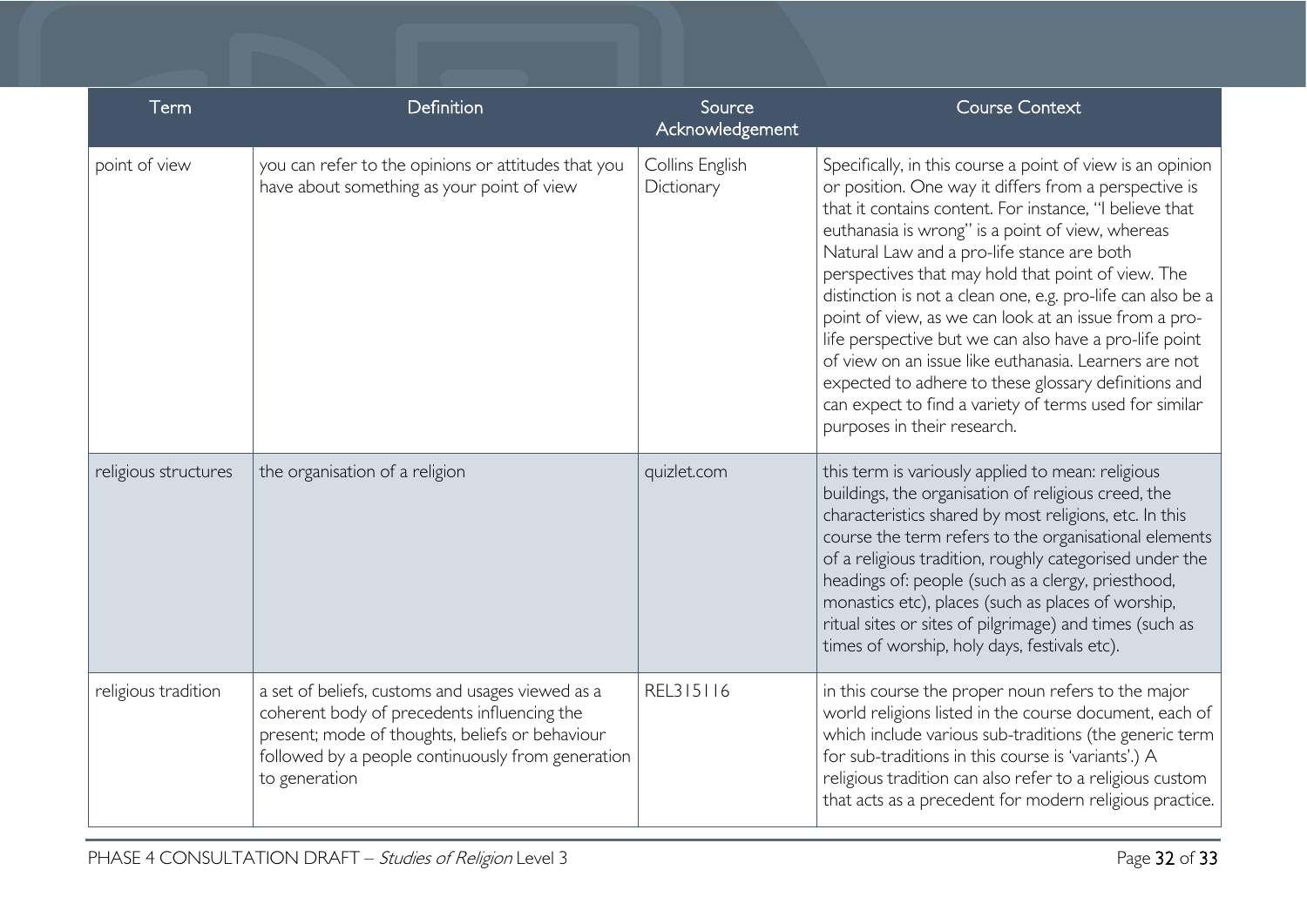| Term                 | Definition                                                                                                                                                                                                               | Source<br>Acknowledgement     | <b>Course Context</b>                                                                                                                                                                                                                                                                                                                                                                                                                                                                                                                                                                                                                                                                                                              |
|----------------------|--------------------------------------------------------------------------------------------------------------------------------------------------------------------------------------------------------------------------|-------------------------------|------------------------------------------------------------------------------------------------------------------------------------------------------------------------------------------------------------------------------------------------------------------------------------------------------------------------------------------------------------------------------------------------------------------------------------------------------------------------------------------------------------------------------------------------------------------------------------------------------------------------------------------------------------------------------------------------------------------------------------|
| point of view        | you can refer to the opinions or attitudes that you<br>have about something as your point of view                                                                                                                        | Collins English<br>Dictionary | Specifically, in this course a point of view is an opinion<br>or position. One way it differs from a perspective is<br>that it contains content. For instance, "I believe that<br>euthanasia is wrong" is a point of view, whereas<br>Natural Law and a pro-life stance are both<br>perspectives that may hold that point of view. The<br>distinction is not a clean one, e.g. pro-life can also be a<br>point of view, as we can look at an issue from a pro-<br>life perspective but we can also have a pro-life point<br>of view on an issue like euthanasia. Learners are not<br>expected to adhere to these glossary definitions and<br>can expect to find a variety of terms used for similar<br>purposes in their research. |
| religious structures | the organisation of a religion                                                                                                                                                                                           | quizlet.com                   | this term is variously applied to mean: religious<br>buildings, the organisation of religious creed, the<br>characteristics shared by most religions, etc. In this<br>course the term refers to the organisational elements<br>of a religious tradition, roughly categorised under the<br>headings of: people (such as a clergy, priesthood,<br>monastics etc), places (such as places of worship,<br>ritual sites or sites of pilgrimage) and times (such as<br>times of worship, holy days, festivals etc).                                                                                                                                                                                                                      |
| religious tradition  | a set of beliefs, customs and usages viewed as a<br>coherent body of precedents influencing the<br>present; mode of thoughts, beliefs or behaviour<br>followed by a people continuously from generation<br>to generation | REL315116                     | in this course the proper noun refers to the major<br>world religions listed in the course document, each of<br>which include various sub-traditions (the generic term<br>for sub-traditions in this course is 'variants'.) A<br>religious tradition can also refer to a religious custom<br>that acts as a precedent for modern religious practice.                                                                                                                                                                                                                                                                                                                                                                               |